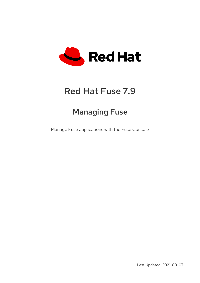

# Red Hat Fuse 7.9

# Managing Fuse

Manage Fuse applications with the Fuse Console

Last Updated: 2021-09-07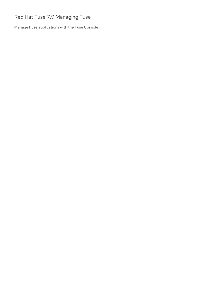Manage Fuse applications with the Fuse Console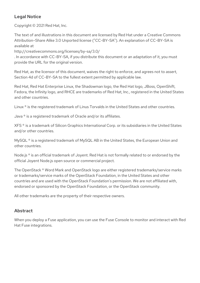# Legal Notice

Copyright © 2021 Red Hat, Inc.

The text of and illustrations in this document are licensed by Red Hat under a Creative Commons Attribution–Share Alike 3.0 Unported license ("CC-BY-SA"). An explanation of CC-BY-SA is available at

http://creativecommons.org/licenses/by-sa/3.0/

. In accordance with CC-BY-SA, if you distribute this document or an adaptation of it, you must provide the URL for the original version.

Red Hat, as the licensor of this document, waives the right to enforce, and agrees not to assert, Section 4d of CC-BY-SA to the fullest extent permitted by applicable law.

Red Hat, Red Hat Enterprise Linux, the Shadowman logo, the Red Hat logo, JBoss, OpenShift, Fedora, the Infinity logo, and RHCE are trademarks of Red Hat, Inc., registered in the United States and other countries.

Linux ® is the registered trademark of Linus Torvalds in the United States and other countries.

Java ® is a registered trademark of Oracle and/or its affiliates.

XFS ® is a trademark of Silicon Graphics International Corp. or its subsidiaries in the United States and/or other countries.

MySQL<sup>®</sup> is a registered trademark of MySQL AB in the United States, the European Union and other countries.

Node.js ® is an official trademark of Joyent. Red Hat is not formally related to or endorsed by the official Joyent Node.js open source or commercial project.

The OpenStack ® Word Mark and OpenStack logo are either registered trademarks/service marks or trademarks/service marks of the OpenStack Foundation, in the United States and other countries and are used with the OpenStack Foundation's permission. We are not affiliated with, endorsed or sponsored by the OpenStack Foundation, or the OpenStack community.

All other trademarks are the property of their respective owners.

### Abstract

When you deploy a Fuse application, you can use the Fuse Console to monitor and interact with Red Hat Fuse integrations.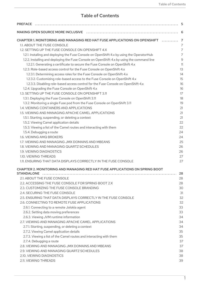# Table of Contents

| <b>PREFACE</b>                                                                              |    |
|---------------------------------------------------------------------------------------------|----|
|                                                                                             |    |
| CHAPTER 1. MONITORING AND MANAGING RED HAT FUSE APPLICATIONS ON OPENSHIFT  7                |    |
| 1.1. ABOUT THE FUSE CONSOLE                                                                 |    |
| 1.2. SETTING UP THE FUSE CONSOLE ON OPENSHIFT 4.X                                           |    |
| 1.2.1. Installing and deploying the Fuse Console on OpenShift 4.x by using the OperatorHub  |    |
| 1.2.2. Installing and deploying the Fuse Console on OpenShift 4.x by using the command line |    |
| 1.2.2.1. Generating a certificate to secure the Fuse Console on OpenShift 4.x               |    |
| 1.2.3. Role-based access control for the Fuse Console on OpenShift 4.x                      |    |
| 1.2.3.1. Determining access roles for the Fuse Console on OpenShift 4.x                     |    |
| 1.2.3.2. Customizing role-based access to the Fuse Console on OpenShift 4.x                 |    |
| 1.2.3.3. Disabling role-based access control for the Fuse Console on OpenShift 4.x          |    |
| 1.2.4. Upgrading the Fuse Console on OpenShift 4.x                                          |    |
| 1.3. SETTING UP THE FUSE CONSOLE ON OPENSHIFT 3.11                                          |    |
| 1.3.1. Deploying the Fuse Console on OpenShift 3.11                                         | 18 |
| 1.3.2. Monitoring a single Fuse pod from the Fuse Console on OpenShift 3.11                 | 19 |
| 1.4. VIEWING CONTAINERS AND APPLICATIONS                                                    | 21 |
| 1.5. VIEWING AND MANAGING APACHE CAMEL APPLICATIONS                                         | 21 |
| 1.5.1. Starting, suspending, or deleting a context                                          | 21 |
| 1.5.2. Viewing Camel application details                                                    | 22 |
| 1.5.3. Viewing a list of the Camel routes and interacting with them                         | 22 |
| 1.5.4. Debugging a route                                                                    | 74 |
| 1.6. VIEWING AMQ BROKERS                                                                    | 24 |
| 1.7. VIEWING AND MANAGING JMX DOMAINS AND MBEANS                                            | 25 |
| 1.8. VIEWING AND MANAGING QUARTZ SCHEDULES                                                  | 26 |
| 1.9. VIEWING DIAGNOSTICS                                                                    | 26 |
| 1.10. VIEWING THREADS                                                                       | 27 |
| 1.11. ENSURING THAT DATA DISPLAYS CORRECTLY IN THE FUSE CONSOLE                             | 27 |
|                                                                                             |    |
| CHAPTER 2. MONITORING AND MANAGING RED HAT FUSE APPLICATIONS ON SPRING BOOT                 |    |
|                                                                                             |    |
| 2.1. ABOUT THE FUSE CONSOLE                                                                 | 28 |
| 2.2. ACCESSING THE FUSE CONSOLE FOR SPRING BOOT 2.X                                         | 28 |
| 2.3. CUSTOMIZING THE FUSE CONSOLE BRANDING                                                  | 30 |
| 2.4. SECURING THE FUSE CONSOLE                                                              | 31 |
| 2.5. ENSURING THAT DATA DISPLAYS CORRECTLY IN THE FUSE CONSOLE                              | 32 |
| 2.6. CONNECTING TO REMOTE FUSE APPLICATIONS                                                 | 32 |
| 2.6.1. Connecting to a remote Jolokia agent                                                 | 33 |
| 2.6.2. Setting data moving preferences                                                      | 33 |
| 2.6.3. Viewing JVM runtime information                                                      | 34 |
| 2.7. VIEWING AND MANAGING APACHE CAMEL APPLICATIONS                                         | 34 |
| 2.7.1. Starting, suspending, or deleting a context                                          | 34 |
| 2.7.2. Viewing Camel application details                                                    | 35 |
| 2.7.3. Viewing a list of the Camel routes and interacting with them                         | 35 |
| 2.7.4. Debugging a route                                                                    | 37 |
| 2.8. VIEWING AND MANAGING JMX DOMAINS AND MBEANS                                            | 37 |
| 2.9. VIEWING AND MANAGING QUARTZ SCHEDULES                                                  | 38 |
| 2.10. VIEWING DIAGNOSTICS                                                                   | 38 |
| 2.11. VIEWING THREADS                                                                       | 39 |
|                                                                                             |    |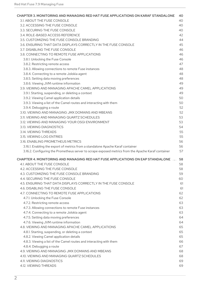| CHAPTER 3. MONITORING AND MANAGING RED HAT FUSE APPLICATIONS ON KARAF STANDALONE 40                 |    |
|-----------------------------------------------------------------------------------------------------|----|
| 3.1. ABOUT THE FUSE CONSOLE                                                                         | 40 |
| 3.2. ACCESSING THE FUSE CONSOLE                                                                     | 40 |
| 3.3. SECURING THE FUSE CONSOLE                                                                      | 40 |
| 3.4. ROLE-BASED ACCESS REFERENCE                                                                    | 42 |
| 3.5. CUSTOMIZING THE FUSE CONSOLE BRANDING                                                          | 44 |
| 3.6. ENSURING THAT DATA DISPLAYS CORRECTLY IN THE FUSE CONSOLE                                      | 45 |
| 3.7. DISABLING THE FUSE CONSOLE                                                                     | 46 |
| 3.8. CONNECTING TO REMOTE FUSE APPLICATIONS                                                         | 46 |
| 3.8.1. Unlocking the Fuse Console                                                                   | 46 |
|                                                                                                     | 47 |
| 3.8.2. Restricting remote access                                                                    |    |
| 3.8.3. Allowing connections to remote Fuse instances                                                | 48 |
| 3.8.4. Connecting to a remote Jolokia agent                                                         | 48 |
| 3.8.5. Setting data moving preferences                                                              | 48 |
| 3.8.6. Viewing JVM runtime information                                                              | 49 |
| 3.9. VIEWING AND MANAGING APACHE CAMEL APPLICATIONS                                                 | 49 |
| 3.9.1. Starting, suspending, or deleting a context                                                  | 49 |
| 3.9.2. Viewing Camel application details                                                            | 50 |
| 3.9.3. Viewing a list of the Camel routes and interacting with them                                 | 50 |
| 3.9.4. Debugging a route                                                                            | 52 |
| 3.10. VIEWING AND MANAGING JMX DOMAINS AND MBEANS                                                   | 52 |
| 3.11. VIEWING AND MANAGING QUARTZ SCHEDULES                                                         | 53 |
| 3.12. VIEWING AND MANAGING YOUR OSGI ENVIRONMENT                                                    | 53 |
| 3.13. VIEWING DIAGNOSTICS                                                                           | 54 |
| 3.14. VIEWING THREADS                                                                               | 55 |
| 3.15. VIEWING LOG ENTRIES                                                                           | 55 |
| 3.16. ENABLING PROMETHEUS METRICS                                                                   | 56 |
| 3.16.1. Enabling the export of metrics from a standalone Apache Karaf container                     | 56 |
|                                                                                                     | 57 |
| 3.16.2. Configuring the Prometheus server to scrape exposed metrics from the Apache Karaf container |    |
| CHAPTER 4. MONITORING AND MANAGING RED HAT FUSE APPLICATIONS ON EAP STANDALONE  58                  |    |
| 4.1. ABOUT THE FUSE CONSOLE                                                                         | 58 |
| 4.2. ACCESSING THE FUSE CONSOLE                                                                     | 58 |
| 4.3. CUSTOMIZING THE FUSE CONSOLE BRANDING                                                          | 59 |
| 4.4. SECURING THE FUSE CONSOLE                                                                      | 60 |
| 4.5. ENSURING THAT DATA DISPLAYS CORRECTLY IN THE FUSE CONSOLE                                      | 61 |
| 4.6. DISABLING THE FUSE CONSOLE                                                                     | 61 |
| 4.7. CONNECTING TO REMOTE FUSE APPLICATIONS                                                         | 62 |
| 4.7.1. Unlocking the Fuse Console                                                                   | 62 |
|                                                                                                     |    |
| 4.7.2. Restricting remote access                                                                    | 63 |
| 4.7.3. Allowing connections to remote Fuse instances                                                | 63 |
| 4.7.4. Connecting to a remote Jolokia agent                                                         | 63 |
| 4.7.5. Setting data moving preferences                                                              | 64 |
| 4.7.6. Viewing JVM runtime information                                                              | 64 |
| 4.8. VIEWING AND MANAGING APACHE CAMEL APPLICATIONS                                                 | 65 |
| 4.8.1. Starting, suspending, or deleting a context                                                  | 65 |
| 4.8.2. Viewing Camel application details                                                            | 65 |
| 4.8.3. Viewing a list of the Camel routes and interacting with them                                 | 66 |
| 4.8.4. Debugging a route                                                                            | 67 |
| 4.9. VIEWING AND MANAGING JMX DOMAINS AND MBEANS                                                    | 68 |
| 4.10. VIEWING AND MANAGING QUARTZ SCHEDULES                                                         | 68 |
| 4.11. VIEWING DIAGNOSTICS                                                                           | 69 |
| 4.12. VIEWING THREADS                                                                               | 69 |
|                                                                                                     |    |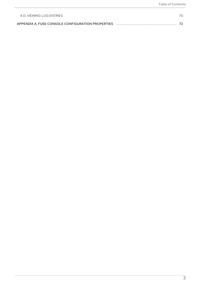| 4.13 VIEWING LOG ENTRIES |  |
|--------------------------|--|
|                          |  |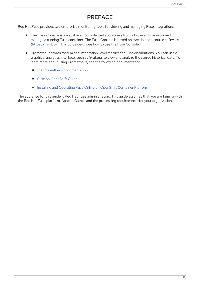# PREFACE

<span id="page-8-0"></span>Red Hat Fuse provides two enterprise monitoring tools for viewing and managing Fuse integrations:

- The Fuse Console is a web-based console that you access from a browser to monitor and manage a running Fuse container. The Fuse Console is based on Hawtio open source software [\(https://hawt.io/](https://hawt.io/)). This guide describes how to use the Fuse Console.
- Prometheus stores system and integration-level metrics for Fuse distributions. You can use a graphical analytics interface, such as Grafana, to view and analyze the stored historical data. To learn more about using Prometheus, see the following documentation:
	- **o** the Prometheus [documentation](https://prometheus.io/docs/introduction/overview/)
	- Fuse on [OpenShift](https://access.redhat.com/documentation/en-us/red_hat_fuse/7.9/html-single/fuse_on_openshift_guide/index#prometheus-openshift) Guide
	- o Installing and Operating Fuse Online on [OpenShift](https://access.redhat.com/documentation/en-us/red_hat_fuse/7.9/html-single/installing_and_operating_fuse_online_on_openshift_container_platform/index#monitor-integrations-on-ocp_manage) Container Platform

The audience for this guide is Red Hat Fuse administrators. This guide assumes that you are familiar with the Red Hat Fuse platform, Apache Camel, and the processing requirements for your organization.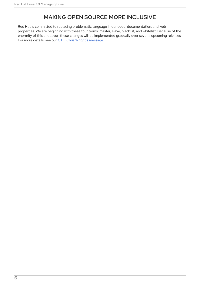# MAKING OPEN SOURCE MORE INCLUSIVE

<span id="page-9-0"></span>Red Hat is committed to replacing problematic language in our code, documentation, and web properties. We are beginning with these four terms: master, slave, blacklist, and whitelist. Because of the enormity of this endeavor, these changes will be implemented gradually over several upcoming releases. For more details, see our CTO Chris Wright's [message](https://www.redhat.com/en/blog/making-open-source-more-inclusive-eradicating-problematic-language) .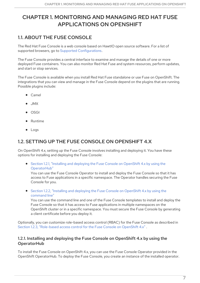# <span id="page-10-0"></span>CHAPTER 1. MONITORING AND MANAGING RED HAT FUSE APPLICATIONS ON OPENSHIFT

# <span id="page-10-1"></span>1.1. ABOUT THE FUSE CONSOLE

The Red Hat Fuse Console is a web console based on HawtIO open source software. For a list of supported browsers, go to Supported [Configurations.](https://access.redhat.com/articles/310603)

The Fuse Console provides a central interface to examine and manage the details of one or more deployed Fuse containers. You can also monitor Red Hat Fuse and system resources, perform updates, and start or stop services.

The Fuse Console is available when you install Red Hat Fuse standalone or use Fuse on OpenShift. The integrations that you can view and manage in the Fuse Console depend on the plugins that are running. Possible plugins include:

- Camel
- JMX
- OSGI
- Runtime
- Logs

# <span id="page-10-2"></span>1.2. SETTING UP THE FUSE CONSOLE ON OPENSHIFT 4.X

On OpenShift 4.x, setting up the Fuse Console involves installing and deploying it. You have these options for installing and deploying the Fuse Console:

• Section 1.2.1, "Installing and deploying the Fuse Console on OpenShift 4.x by using the [OperatorHub"](#page-11-0)

You can use the Fuse Console Operator to install and deploy the Fuse Console so that it has access to Fuse applications in a specific namespace. The Operator handles securing the Fuse Console for you.

Section 1.2.2, "Installing and deploying the Fuse Console on [OpenShift](#page-14-1) 4.x by using the command line"

You can use the command line and one of the Fuse Console templates to install and deploy the Fuse Console so that it has access to Fuse applications in multiple namespaces on the OpenShift cluster or in a specific namespace. You must secure the Fuse Console by generating a client certificate before you deploy it.

Optionally, you can customize role-based access control (RBAC) for the Fuse Console as described in Section 1.2.3, ["Role-based](#page-18-1) access control for the Fuse Console on OpenShift 4.x" .

#### <span id="page-10-3"></span>1.2.1. Installing and deploying the Fuse Console on OpenShift 4.x by using the **OperatorHub**

To install the Fuse Console on OpenShift 4.x, you can use the Fuse Console Operator provided in the OpenShift OperatorHub. To deploy the Fuse Console, you create an instance of the installed operator.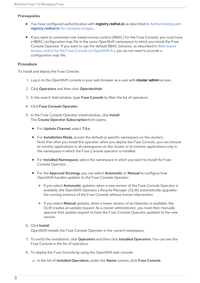#### <span id="page-11-0"></span>Prerequisites

- You have configured authentication with **[registry.redhat.io](https://access.redhat.com/documentation/en-us/red_hat_fuse/7.9/html-single/fuse_on_openshift_guide/index#configuring-container-registry-authn_fuse-on-openshift)** as described in Authenticating with **registry.redhat.io** for container images.
- If you want to customize role-based access control (RBAC) for the Fuse Console, you must have a RBAC configuration map file in the same OpenShift namespace to which you install the Fuse Console Operator. If you want to use the default RBAC behavior, as described in [Role-based](https://access.redhat.com/documentation/en-us/red_hat_fuse/7.9/html-single/managing_fuse/index#fuse-console-openshift4-rbac) access control for the Fuse Console on OpenShift 4.x, you do not need to provide a configuration map file.

#### Procedure

To install and deploy the Fuse Console:

- 1. Log in to the OpenShift console in your web browser as a user with **cluster admin** access.
- 2. Click Operators and then click OperatorHub.
- 3. In the search field window, type Fuse Console to filter the list of operators.
- 4. Click Fuse Console Operator.
- 5. In the Fuse Console Operator install window, click Install. The Create Operator Subscription form opens.
	- For Update Channel, select 7.9.x.
	- For Installation Mode, accept the default (a specific namespace on the cluster). Note that after you install the operator, when you deploy the Fuse Console, you can choose to monitor applications in all namespaces on the cluster or to monitor applications only in the namespace in which the Fuse Console operator is installed.
	- For Installed Namespace, select the namespace in which you want to install the Fuse Console Operator.
	- For the Approval Strategy, you can select Automatic or Manual to configure how OpenShift handles updates to the Fuse Console Operator.
		- If you select **Automatic** updates, when a new version of the Fuse Console Operator is available, the OpenShift Operator Lifecycle Manager (OLM) automatically upgrades the running instance of the Fuse Console without human intervention.
		- If you select **Manual** updates, when a newer version of an Operator is available, the OLM creates an update request. As a cluster administrator, you must then manually approve that update request to have the Fuse Console Operator updated to the new version.

#### 6. Click Install.

OpenShift installs the Fuse Console Operator in the current namespace.

- 7. To verify the installation, click Operators and then click Installed Operators. You can see the Fuse Console in the list of operators.
- 8. To deploy the Fuse Console by using the OpenShift web console:
	- a. In the list of Installed Operators, under the Name column, click Fuse Console.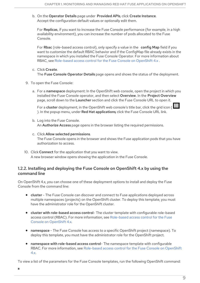b. On the Operator Details page under Provided APIs, click Create Instance. Accept the configuration default values or optionally edit them.

For Replicas, if you want to increase the Fuse Console performance (for example, in a high availability environment), you can increase the number of pods allocated to the Fuse Console.

For Rbac (role-based access control), only specify a value in the config Map field if you want to customize the default RBAC behavior and if the ConfigMap file already exists in the namespace in which you installed the Fuse Console Operator. For more information about RBAC, see [Role-based](https://access.redhat.com/documentation/en-us/red_hat_fuse/7.9/html-single/managing_fuse/index#fuse-console-openshift4-rbac) access control for the Fuse Console on OpenShift 4.x .

- c. Click Create. The Fuse Console Operator Details page opens and shows the status of the deployment.
- 9. To open the Fuse Console:
	- a. For a namespace deployment: In the OpenShift web console, open the project in which you installed the Fuse Console operator, and then select Overview. In the Project Overview page, scroll down to the Launcher section and click the Fuse Console URL to open it.

For a **cluster** deployment, in the OpenShift web console's title bar, click the grid icon ( ). In the popup menu, under Red Hat applications, click the Fuse Console URL link.

- b. Log into the Fuse Console. An Authorize Access page opens in the browser listing the required permissions.
- c. Click Allow selected permissions. The Fuse Console opens in the browser and shows the Fuse application pods that you have authorization to access.
- 10. Click Connect for the application that you want to view. A new browser window opens showing the application in the Fuse Console.

#### <span id="page-12-0"></span>1.2.2. Installing and deploying the Fuse Console on OpenShift 4.x by using the command line

On OpenShift 4.x, you can choose one of these deployment options to install and deploy the Fuse Console from the command line:

- cluster The Fuse Console can discover and connect to Fuse applications deployed across multiple namespaces (projects) on the OpenShift cluster. To deploy this template, you must have the administrator role for the OpenShift cluster.
- cluster with role-based access control- The cluster template with configurable role-based access control (RBAC). For more [information,](https://access.redhat.com/documentation/en-us/red_hat_fuse/7.9/html-single/managing_fuse/index#fuse-console-openshift4-rbac) see Role-based access control for the Fuse Console on OpenShift 4.x.
- namespace The Fuse Console has access to a specific OpenShift project (namespace). To deploy this template, you must have the administrator role for the OpenShift project.
- namespace with role-based access control- The namespace template with configurable RBAC. For more [information,](https://access.redhat.com/documentation/en-us/red_hat_fuse/7.9/html-single/managing_fuse/index#fuse-console-openshift4-rbac) see Role-based access control for the Fuse Console on OpenShift  $4x$

To view a list of the parameters for the Fuse Console templates, run the following OpenShift command: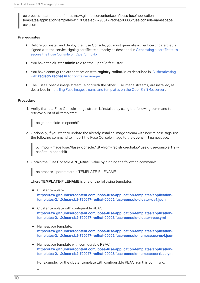oc process --parameters -f https://raw.githubusercontent.com/jboss-fuse/applicationtemplates/application-templates-2.1.0.fuse-sb2-790047-redhat-00005/fuse-console-namespaceos4.json

#### Prerequisites

- Before you install and deploy the Fuse Console, you must generate a client certificate that is signed with the service signing certificate authority as described in [Generating](https://access.redhat.com/documentation/en-us/red_hat_fuse/7.9/html-single/managing_fuse/index#fuse-console-generate-certificate-openshift4) a certificate to secure the Fuse Console on OpenShift 4.x.
- You have the **cluster admin** role for the OpenShift cluster.
- You have connfigured authentication with **[registry.redhat.io](https://access.redhat.com/documentation/en-us/red_hat_fuse/7.9/html-single/fuse_on_openshift_guide/index#configuring-container-registry-authn_fuse-on-openshift)** as described in Authenticating with **registry.redhat.io** for container images.
- The Fuse Console image stream (along with the other Fuse image streams) are installed, as described in Installing Fuse [imagestreams](https://access.redhat.com/documentation/en-us/red_hat_fuse/7.9/html-single/fuse_on_openshift_guide/index#install-fuse-on-openshift4) and templates on the OpenShift 4.x server .

#### Procedure

1. Verify that the Fuse Console image stream is installed by using the following command to retrieve a list of all templates:



2. Optionally, if you want to update the already installed image stream with new release tags, use the following command to import the Fuse Console image to the **openshift** namespace:

oc import-image fuse7/fuse7-console:1.9 --from=registry.redhat.io/fuse7/fuse-console:1.9 - confirm -n openshift

3. Obtain the Fuse Console APP\_NAME value by running the following command:

oc process --parameters -f TEMPLATE-FILENAME

where **TEMPLATE-FILENAME** is one of the following templates:

- Cluster template: **[https://raw.githubusercontent.com/jboss-fuse/application-templates/application](https://raw.githubusercontent.com/jboss-fuse/application-templates/application-templates-2.1.0.fuse-sb2-790047-redhat-00005/fuse-console-cluster-os4.json)templates-2.1.0.fuse-sb2-790047-redhat-00005/fuse-console-cluster-os4.json**
- Cluster template with configurable RBAC: **[https://raw.githubusercontent.com/jboss-fuse/application-templates/application](https://raw.githubusercontent.com/jboss-fuse/application-templates/application-templates-2.1.0.fuse-sb2-790047-redhat-00005/fuse-console-cluster-rbac.yml)templates-2.1.0.fuse-sb2-790047-redhat-00005/fuse-console-cluster-rbac.yml**
- Namespace template: **https://raw.githubusercontent.com/jboss-fuse/application-templates/application[templates-2.1.0.fuse-sb2-790047-redhat-00005/fuse-console-namespace-os4.json](https://raw.githubusercontent.com/jboss-fuse/application-templates/application-templates-2.1.0.fuse-sb2-790047-redhat-00005/fuse-console-namespace-os4.json)**
- Namespace template with configurable RBAC: **https://raw.githubusercontent.com/jboss-fuse/application-templates/application[templates-2.1.0.fuse-sb2-790047-redhat-00005/fuse-console-namespace-rbac.yml](https://raw.githubusercontent.com/jboss-fuse/application-templates/application-templates-2.1.0.fuse-sb2-790047-redhat-00005/fuse-console-namespace-rbac.yml)**

For example, for the cluster template with configurable RBAC, run this command: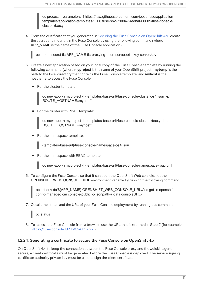<span id="page-14-1"></span>oc process --parameters -f https://raw.githubusercontent.com/jboss-fuse/applicationtemplates/application-templates-2.1.0.fuse-sb2-790047-redhat-00005/fuse-consolecluster-rbac.yml

4. From the certificate that you generated in Securing the Fuse Console on [OpenShift](https://access.redhat.com/documentation/en-us/red_hat_fuse/7.9/html-single/managing_fuse/index#fuse-console-generate-certificate-openshift4) 4.x , create the secret and mount it in the Fuse Console by using the following command (where APP\_NAME is the name of the Fuse Console application).

oc create secret tls APP\_NAME-tls-proxying --cert server.crt --key server.key

- 5. Create a new application based on your local copy of the Fuse Console template by running the following command (where myproject is the name of your OpenShift project, mytemp is the path to the local directory that contains the Fuse Console template, and myhost is the hostname to access the Fuse Console:
	- For the cluster template:

oc new-app -n myproject -f {templates-base-url}/fuse-console-cluster-os4.json -p ROUTE\_HOSTNAME=myhost"

For the cluster with RBAC template:

oc new-app -n myproject -f {templates-base-url}/fuse-console-cluster-rbac.yml -p ROUTE\_HOSTNAME=myhost"

For the namespace template:

{templates-base-url}/fuse-console-namespace-os4.json

For the namespace with RBAC template:

oc new-app -n myproject -f {templates-base-url}/fuse-console-namespace-rbac.yml

6. To configure the Fuse Console so that it can open the OpenShift Web console, set the **OPENSHIFT\_WEB\_CONSOLE\_URL** environment variable by running the following command:

oc set env dc/\${APP\_NAME} OPENSHIFT\_WEB\_CONSOLE\_URL=`oc get -n openshiftconfig-managed cm console-public -o jsonpath={.data.consoleURL}`

7. Obtain the status and the URL of your Fuse Console deployment by running this command:

oc status

8. To access the Fuse Console from a browser, use the URL that is returned in Step 7 (for example, [https://fuse-console.192.168.64.12.nip.io\)](https://fuse-console.192.168.64.12.nip.io).

#### <span id="page-14-0"></span>1.2.2.1. Generating a certificate to secure the Fuse Console on OpenShift 4.x

On OpenShift 4.x, to keep the connection between the Fuse Console proxy and the Jolokia agent secure, a client certificate must be generated before the Fuse Console is deployed. The service signing certificate authority private key must be used to sign the client certificate.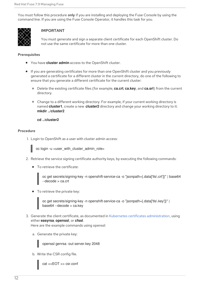You must follow this procedure only if you are installing and deploying the Fuse Console by using the command line. If you are using the Fuse Console Operator, it handles this task for you.



#### IMPORTANT

You must generate and sign a separate client certificate for each OpenShift cluster. Do not use the same certificate for more than one cluster.

#### **Prerequisites**

- You have **cluster admin** access to the OpenShift cluster.
- If you are generating certificates for more than one OpenShift cluster and you previously generated a certificate for a different cluster in the current directory, do one of the following to ensure that you generate a different certificate for the current cluster:
	- Delete the existing certificate files (for example, **ca.crt**, **ca.key**, and **ca.srl**) from the current directory.
	- Change to a different working directory. For example, if your current working directory is named **cluster1**, create a new **cluster2** directory and change your working directory to it: **mkdir ../cluster2**

#### **cd ../cluster2**

#### Procedure

1. Login to OpenShift as a user with cluster admin access:



oc login -u <user\_with\_cluster\_admin\_role>

- 2. Retrieve the service signing certificate authority keys, by executing the following commands:
	- To retrieve the certificate:

oc get secrets/signing-key -n openshift-service-ca -o "jsonpath={.data['tls\.crt']}" | base64 --decode > ca.crt

To retrieve the private key:

oc get secrets/signing-key -n openshift-service-ca -o "jsonpath={.data['tls\.key']}" | base64 --decode > ca.key

3. Generate the client certificate, as documented in Kubernetes certificates [administration](https://kubernetes.io/docs/concepts/cluster-administration/certificates/), using either **easyrsa**, **openssl**, or **cfssl**.

Here are the example commands using openssl:

a. Generate the private key:

openssl genrsa -out server.key 2048

b. Write the CSR config file.

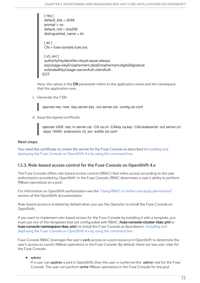[ req ] default\_bits = 2048 prompt = no default  $md = sha256$ distinguished\_name = dn [ dn ] CN = fuse-console.fuse.svc  $\lceil v3 \rangle$  ext ] authorityKeyIdentifier=keyid,issuer:always keyUsage=keyEncipherment,dataEncipherment,digitalSignature extendedKeyUsage=serverAuth,clientAuth EOT

Here, the values in the **CN** parameter refers to the application name and the namespace that the application uses.

c. Generate the CSR:

openssl req -new -key server.key -out server.csr -config csr.conf

d. Issue the signed certificate:

openssl x509 -req -in server.csr -CA ca.crt -CAkey ca.key -CAcreateserial -out server.crt -days 10000 -extensions v3\_ext -extfile csr.conf

#### Next steps

You need this certificate to create the secret for the Fuse Console as described in Installing and deploying the Fuse Console on [OpenShift](https://access.redhat.com/documentation/en-us/red_hat_fuse/7.9/html-single/managing_fuse/index#fuse-console-install-openshift4-commandline) 4.x by using the command line.

#### <span id="page-16-0"></span>1.2.3. Role-based access control for the Fuse Console on OpenShift 4.x

The Fuse Console offers role-based access control (RBAC) that infers access according to the user authorization provided by OpenShift. In the Fuse Console, RBAC determines a user's ability to perform MBean operations on a pod.

For information on OpenShift authorization see the "Using RBAC to define and apply [permissions"](https://access.redhat.com/documentation/en-us/openshift_container_platform/4.4/html/authentication/using-rbac) section of the OpenShift documentation.

Role-based access is enabled by default when you use the Operator to install the Fuse Console on OpenShift.

If you want to implement role-based access for the Fuse Console by installing it with a template, you must use one of the templates that are configurable with RBAC (**fuse-console-cluster-rbac.yml** or **[fuse-console-namespace-rbac.yml](https://access.redhat.com/documentation/en-us/red_hat_fuse/7.9/html-single/managing_fuse/index#fuse-console-install-openshift4-commandline)**) to install the Fuse Console as described in Installing and deploying the Fuse Console on OpenShift 4.x by using the command line.

Fuse Console RBAC leverages the user's verb access on a pod resource in OpenShift to determine the user's access to a pod's MBean operations in the Fuse Console. By default, there are two user roles for the Fuse Console:

#### $\bullet$  admin

If a user can update a pod in OpenShift, then the user is conferred the admin role for the Fuse Console. The user can perform write MBean operations in the Fuse Console for the pod.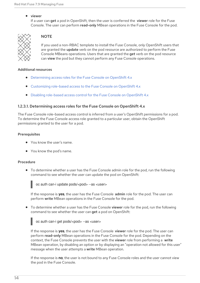#### • viewer

If a user can **get** a pod in OpenShift, then the user is conferred the **viewer** role for the Fuse Console. The user can perform read-only MBean operations in the Fuse Console for the pod.



#### **NOTE**

If you used a non-RBAC template to install the Fuse Console, only OpenShift users that are granted the **update** verb on the pod resource are authorized to perform the Fuse Console MBeans operations. Users that are granted the get verb on the pod resource can view the pod but they cannot perform any Fuse Console operations.

#### Additional resources

- [Determining](https://access.redhat.com/documentation/en-us/red_hat_fuse/7.9/html-single/managing_fuse/index#fuse-console-rbac-determining-roles) access roles for the Fuse Console on OpenShift 4.x
- [Customizing](https://access.redhat.com/documentation/en-us/red_hat_fuse/7.9/html-single/managing_fuse/index#fuse-console-rbac-customizing) role-based access to the Fuse Console on OpenShift 4.x
- Disabling [role-based](https://access.redhat.com/documentation/en-us/red_hat_fuse/7.9/html-single/managing_fuse/index#fuse-console-openshift4-rbac-disabling) access control for the Fuse Console on OpenShift 4.x

#### <span id="page-17-0"></span>1.2.3.1. Determining access roles for the Fuse Console on OpenShift 4.x

The Fuse Console role-based access control is inferred from a user's OpenShift permissions for a pod. To determine the Fuse Console access role granted to a particular user, obtain the OpenShift permissions granted to the user for a pod.

#### **Prerequisites**

- You know the user's name.
- You know the pod's name.

#### Procedure

To determine whether a user has the Fuse Console admin role for the pod, run the following command to see whether the user can update the pod on OpenShift:



If the response is **yes**, the user has the Fuse Console admin role for the pod. The user can perform write MBean operations in the Fuse Console for the pod.

To determine whether a user has the Fuse Console viewer role for the pod, run the following command to see whether the user can get a pod on OpenShift:



oc auth can-i get pods/<pod> --as <user>

If the response is **yes**, the user has the Fuse Console viewer role for the pod. The user can perform read-only MBean operations in the Fuse Console for the pod. Depending on the context, the Fuse Console prevents the user with the viewer role from performing a write MBean operation, by disabling an option or by displaying an "operation not allowed for this user" message when the user attempts a write MBean operation.

If the response is **no**, the user is not bound to any Fuse Console roles and the user cannot view the pod in the Fuse Console.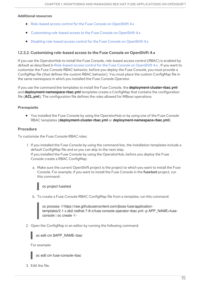#### <span id="page-18-1"></span>Additional resources

- [Role-based](https://access.redhat.com/documentation/en-us/red_hat_fuse/7.9/html-single/managing_fuse/index#fuse-console-openshift4-rbac) access control for the Fuse Console on OpenShift 4.x
- [Customizing](https://access.redhat.com/documentation/en-us/red_hat_fuse/7.9/html-single/managing_fuse/index#fuse-console-rbac-customizing) role-based access to the Fuse Console on OpenShift 4.x
- Disabling [role-based](https://access.redhat.com/documentation/en-us/red_hat_fuse/7.9/html-single/managing_fuse/index#fuse-console-openshift4-rbac-disabling) access control for the Fuse Console on OpenShift 4.x

#### <span id="page-18-0"></span>1.2.3.2. Customizing role-based access to the Fuse Console on OpenShift 4.x

If you use the OperatorHub to install the Fuse Console, role-based access control (RBAC) is enabled by default as described in [Role-based](https://access.redhat.com/documentation/en-us/red_hat_fuse/7.9/html-single/managing_fuse/index#fuse-console-openshift4-rbac) access control for the Fuse Console on OpenShift 4.x . If you want to customize the Fuse Console RBAC behavior, before you deploy the Fuse Console, you must provide a ConfigMap file (that defines the custom RBAC behavior). You must place the custom ConfigMap file in the same namespace in which you installed the Fuse Console Operator.

If you use the command line templates to install the Fuse Console, the **deployment-cluster-rbac.yml** and **deployment-namespace-rbac.yml** templates create a ConfigMap that contains the configuration file (**ACL.yml**). The configuration file defines the roles allowed for MBean operations.

#### Prerequisite

You installed the Fuse Console by using the OperatorHub or by using one of the Fuse Console RBAC templates (**deployment-cluster-rbac.yml** or **deployment-namespace-rbac.yml**)

#### Procedure

To customize the Fuse Console RBAC roles:

- 1. If you installed the Fuse Console by using the command line, the installation templates include a default ConfigMap file and so you can skip to the next step. If you installed the Fuse Console by using the OperatorHub, before you deploy the Fuse Console create a RBAC ConfigMap:
	- a. Make sure the current OpenShift project is the project to which you want to install the Fuse Console. For example, if you want to install the Fuse Console in the fusetest project, run this command:

#### oc project fusetest

b. To create a Fuse Console RBAC ConfigMap file from a template, run this command:

oc process -f https://raw.githubusercontent.com/jboss-fuse/applicationtemplates/2.1.x.sb2.redhat-7-8-x/fuse-console-operator-rbac.yml -p APP\_NAME=fuseconsole | oc create -f -

2. Open the ConfigMap in an editor by running the following command:



oc edit cm \$APP\_NAME-rbac

For example:

oc edit cm fuse-console-rbac

3. Edit the file.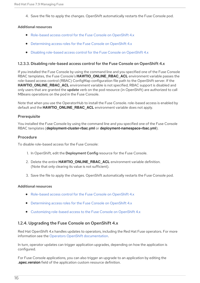4. Save the file to apply the changes. OpenShift automatically restarts the Fuse Console pod.

#### Additional resources

- [Role-based](https://access.redhat.com/documentation/en-us/red_hat_fuse/7.9/html-single/managing_fuse/index#fuse-console-openshift4-rbac) access control for the Fuse Console on OpenShift 4.x
- [Determining](https://access.redhat.com/documentation/en-us/red_hat_fuse/7.9/html-single/managing_fuse/index#fuse-console-rbac-determining-roles) access roles for the Fuse Console on OpenShift 4.x
- Disabling [role-based](https://access.redhat.com/documentation/en-us/red_hat_fuse/7.9/html-single/managing_fuse/index#fuse-console-openshift4-rbac-disabling) access control for the Fuse Console on OpenShift 4.x

#### <span id="page-19-0"></span>1.2.3.3. Disabling role-based access control for the Fuse Console on OpenShift 4.x

If you installed the Fuse Console by using the command line and you specified one of the Fuse Console RBAC templates, the Fuse Console's **HAWTIO\_ONLINE\_RBAC\_ACL** environment variable passes the role-based access control (RBAC) ConfigMap configuration file path to the OpenShift server. If the **HAWTIO\_ONLINE\_RBAC\_ACL** environment variable is not specified, RBAC support is disabled and only users that are granted the update verb on the pod resource (in OpenShift) are authorized to call MBeans operations on the pod in the Fuse Console.

Note that when you use the OperatorHub to install the Fuse Console. role-based access is enabled by default and the **HAWTIO\_ONLINE\_RBAC\_ACL** environment variable does not apply.

#### **Prerequisite**

You installed the Fuse Console by using the command line and you specified one of the Fuse Console RBAC templates (**deployment-cluster-rbac.yml** or **deployment-namespace-rbac.yml**).

#### Procedure

To disable role-based access for the Fuse Console:

- 1. In OpenShift, edit the Deployment Confia resource for the Fuse Console.
- 2. Delete the entire **HAWTIO\_ONLINE\_RBAC\_ACL** environment variable definition. (Note that only clearing its value is not sufficient).
- 3. Save the file to apply the changes. OpenShift automatically restarts the Fuse Console pod.

#### Additional resources

- [Role-based](https://access.redhat.com/documentation/en-us/red_hat_fuse/7.9/html-single/managing_fuse/index#fuse-console-openshift4-rbac) access control for the Fuse Console on OpenShift 4.x
- [Determining](https://access.redhat.com/documentation/en-us/red_hat_fuse/7.9/html-single/managing_fuse/index#fuse-console-rbac-determining-roles) access roles for the Fuse Console on OpenShift 4.x
- [Customizing](https://access.redhat.com/documentation/en-us/red_hat_fuse/7.9/html-single/managing_fuse/index#fuse-console-rbac-customizing) role-based access to the Fuse Console on OpenShift 4.x

#### <span id="page-19-1"></span>1.2.4. Upgrading the Fuse Console on OpenShift 4.x

Red Hat OpenShift 4.x handles updates to operators, including the Red Hat Fuse operators. For more information see the Operators OpenShift [documentation.](https://access.redhat.com/documentation/en-us/openshift_container_platform/4.2/)

In turn, operator updates can trigger application upgrades, depending on how the application is configured.

For Fuse Console applications, you can also trigger an upgrade to an application by editing the **.spec.version** field of the application custom resource definition.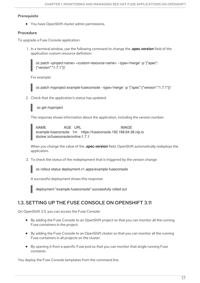#### **Prerequisite**

You have OpenShift cluster admin permissions.

#### Procedure

To upgrade a Fuse Console application:

1. In a terminal window, use the following command to change the **.spec.version** field of the application custom resource definition:

oc patch <project-name> <custom-resource-name> --type='merge' -p '{"spec": {"version":"1.7.1"}}'

For example:



oc patch myproject example-fuseconsole --type='merge' -p '{"spec":{"version":"1.7.1"}}'

2. Check that the application's status has updated:



The response shows information about the application, including the version number:

NAME AGE URL IMAGE example-fuseconsole 1m https://fuseconsole.192.168.64.38.nip.io docker.io/fuseconsole/online:1.7.1

When you change the value of the **.spec.version** field, OpenShift automatically redeploys the application.

3. To check the status of the redeployment that is triggered by the version change:

oc rollout status deployment.v1.apps/example-fuseconsole

A successful deployment shows this response:

deployment "example-fuseconsole" successfully rolled out

# <span id="page-20-0"></span>1.3. SETTING UP THE FUSE CONSOLE ON OPENSHIFT 3.11

On OpenShift 3.11, you can access the Fuse Console:

- By adding the Fuse Console to an OpenShift project so that you can monitor all the running Fuse containers in the project.
- By adding the Fuse Console to an OpenShift cluster so that you can monitor all the running Fuse containers in all projects on the cluster.
- By opening it from a specific Fuse pod so that you can monitor that single running Fuse container.

You deploy the Fuse Console templates from the command line.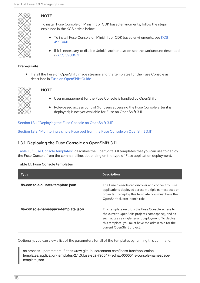

### **NOTE**

To install Fuse Console on Minishift or CDK based enviroments, follow the steps explained in the KCS article below.

- **•** To install Fuse Console on Minishift or CDK based [enviroments,](https://access.redhat.com/solutions/4998441) see KCS 4998441.
- If it is necessary to disable Jolokia authentication see the workaround described in KCS [3988671](https://access.redhat.com/solutions/3988671).

#### Prerequisite

• Install the Fuse on OpenShift image streams and the templates for the Fuse Console as described in Fuse on [OpenShift](https://access.redhat.com/documentation/en-us/red_hat_fuse/7.9/html-single/fuse_on_openshift_guide/index) Guide.



#### **NOTE**

- User management for the Fuse Console is handled by OpenShift.
- Role-based access control (for users accessing the Fuse Console after it is deployed) is not yet available for Fuse on OpenShift 3.11.

Section 1.3.1, ["Deploying](#page-22-1) the Fuse Console on OpenShift 3.11"

Section 1.3.2, ["Monitoring](#page-23-0) a single Fuse pod from the Fuse Console on OpenShift 3.11"

### <span id="page-21-0"></span>1.3.1. Deploying the Fuse Console on OpenShift 3.11

Table 1.1, "Fuse Console [templates"](#page-21-1) describes the OpenShift 3.11 templates that you can use to deploy the Fuse Console from the command line, depending on the type of Fuse application deployment.

#### <span id="page-21-1"></span>Table 1.1. Fuse Console templates

| <b>Type</b>                         | <b>Description</b>                                                                                                                                                                                                                                 |
|-------------------------------------|----------------------------------------------------------------------------------------------------------------------------------------------------------------------------------------------------------------------------------------------------|
| fis-console-cluster-template.json   | The Fuse Console can discover and connect to Fuse<br>applications deployed across multiple namespaces or<br>projects. To deploy this template, you must have the<br>OpenShift cluster-admin role.                                                  |
| fis-console-namespace-template.json | This template restricts the Fuse Console access to<br>the current OpenShift project (namespace), and as<br>such acts as a single tenant deployment. To deploy<br>this template, you must have the admin role for the<br>current OpenShift project. |

Optionally, you can view a list of the parameters for all of the templates by running this command:

oc process --parameters -f https://raw.githubusercontent.com/jboss-fuse/applicationtemplates/application-templates-2.1.0.fuse-sb2-790047-redhat-00005/fis-console-namespacetemplate.json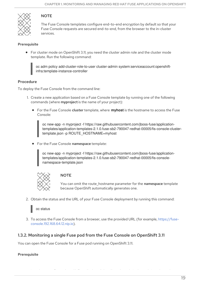<span id="page-22-1"></span>

### **NOTE**

The Fuse Console templates configure end-to-end encryption by default so that your Fuse Console requests are secured end-to-end, from the browser to the in-cluster services.

#### Prerequisite

For cluster mode on OpenShift 3.11, you need the cluster admin role and the cluster mode template. Run the following command:



oc adm policy add-cluster-role-to-user cluster-admin system:serviceaccount:openshiftinfra:template-instance-controller

#### Procedure

To deploy the Fuse Console from the command line:

- 1. Create a new application based on a Fuse Console template by running one of the following commands (where myproject is the name of your project):
	- **•** For the Fuse Console **cluster** template, where **myhost** is the hostname to access the Fuse Console:

oc new-app -n myproject -f https://raw.githubusercontent.com/jboss-fuse/applicationtemplates/application-templates-2.1.0.fuse-sb2-790047-redhat-00005/fis-console-clustertemplate.json -p ROUTE\_HOSTNAME=myhost

**•** For the Fuse Console namespace template:

oc new-app -n myproject -f https://raw.githubusercontent.com/jboss-fuse/applicationtemplates/application-templates-2.1.0.fuse-sb2-790047-redhat-00005/fis-consolenamespace-template.json



#### **NOTE**

You can omit the route\_hostname parameter for the namespace template because OpenShift automatically generates one.

2. Obtain the status and the URL of your Fuse Console deployment by running this command:

oc status

3. To access the Fuse Console from a browser, use the provided URL (for example, https://fuse[console.192.168.64.12.nip.io\).](https://fuse-console.192.168.64.12.nip.io)

In order to configure OpenShift to display a link to Fuse Console in the pod view, the pod

#### <span id="page-22-0"></span>1.3.2. Monitoring a single Fuse pod from the Fuse Console on OpenShift 3.11

You can open the Fuse Console for a Fuse pod running on OpenShift 3.11.

#### **Prerequisite**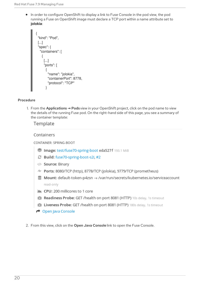<span id="page-23-0"></span>In order to configure OpenShift to display a link to Fuse Console in the pod view, the pod running a Fuse on OpenShift image must declare a TCP port within a name attribute set to **jolokia**:

```
{
 "kind": "Pod",
[...]
 "spec": {
  "containers": [
   {
     [...]
     "ports": [
      \{"name": "jolokia",
        "containerPort": 8778,
        "protocol": "TCP"
      }
```
#### Procedure

1. From the Applications **→** Pods view in your OpenShift project, click on the pod name to view the details of the running Fuse pod. On the right-hand side of this page, you see a summary of the container template:

#### Template

#### Containers

CONTAINER: SPRING-BOOT

- Image: test/fuse70-spring-boot eda527f 193.1 MiB
- **C** Build: fuse70-spring-boot-s2i, #2
- </>Source: Binary
- 4 Ports: 8080/TCP (http), 8778/TCP (jolokia), 9779/TCP (prometheus)
- S Mount: default-token-p4zsn → /var/run/secrets/kubernetes.io/serviceaccount read-only
- M CPU: 200 millicores to 1 core
- (d) Readiness Probe: GET /health on port 8081 (HTTP) 10s delay, 1s timeout
- **I Liveness Probe: GET /health on port 8081 (HTTP)** 180s delay, 1s timeout
- Open Java Console
- 2. From this view, click on the Open Java Console link to open the Fuse Console.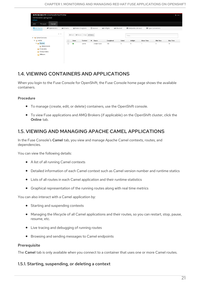

# <span id="page-24-0"></span>1.4. VIEWING CONTAINERS AND APPLICATIONS

When you login to the Fuse Console for OpenShift, the Fuse Console home page shows the available containers.

#### Procedure

- To manage (create, edit, or delete) containers, use the OpenShift console.  $\bullet$
- To view Fuse applications and AMQ Brokers (if applicable) on the OpenShift cluster, click the  $\bullet$ Online tab.

# <span id="page-24-1"></span>1.5. VIEWING AND MANAGING APACHE CAMEL APPLICATIONS

In the Fuse Console's Camel tab, you view and manage Apache Camel contexts, routes, and dependencies.

You can view the following details:

- A list of all running Camel contexts
- Detailed information of each Camel context such as Camel version number and runtime statics
- Lists of all routes in each Camel application and their runtime statistics
- Graphical representation of the running routes along with real time metrics

You can also interact with a Camel application by:

- Starting and suspending contexts
- Managing the lifecycle of all Camel applications and their routes, so you can restart, stop, pause, resume, etc.
- Live tracing and debugging of running routes  $\bullet$
- Browsing and sending messages to Camel endpoints

#### **Prerequisite**

The Camel tab is only available when you connect to a container that uses one or more Camel routes.

#### <span id="page-24-2"></span>1.5.1. Starting, suspending, or deleting a context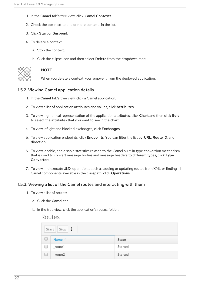- 1. In the Camel tab's tree view, click Camel Contexts.
- 2. Check the box next to one or more contexts in the list.
- 3. Click Start or Suspend.
- 4. To delete a context:
	- a. Stop the context.
	- b. Click the ellipse icon and then select Delete from the dropdown menu.



#### **NOTE**

When you delete a context, you remove it from the deployed application.

#### <span id="page-25-0"></span>1.5.2. Viewing Camel application details

- 1. In the Camel tab's tree view, click a Camel application.
- 2. To view a list of application attributes and values, click Attributes.
- 3. To view a graphical representation of the application attributes, click Chart and then click Edit to select the attributes that you want to see in the chart.
- 4. To view inflight and blocked exchanges, click Exchanges.
- 5. To view application endpoints, click Endpoints. You can filter the list by URL, Route ID, and direction.
- 6. To view, enable, and disable statistics related to the Camel built-in type conversion mechanism that is used to convert message bodies and message headers to different types, click Type Converters.
- 7. To view and execute JMX operations, such as adding or updating routes from XML or finding all Camel components available in the classpath, click Operations.

#### <span id="page-25-1"></span>1.5.3. Viewing a list of the Camel routes and interacting with them

- 1. To view a list of routes:
	- a. Click the Camel tab.
	- b. In the tree view, click the application's routes folder:

#### Routes

|                          | Start   Stop |         |
|--------------------------|--------------|---------|
| └                        | Name ^       | State   |
| $\Box$                   | $_$ route1   | Started |
| $\overline{\phantom{a}}$ | $_route2$    | Started |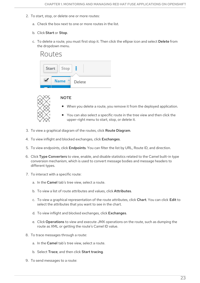- 2. To start, stop, or delete one or more routes:
	- a. Check the box next to one or more routes in the list.
	- b. Click Start or Stop.
	- c. To delete a route, you must first stop it. Then click the ellipse icon and select Delete from the dropdown menu.





#### **NOTE**

- When you delete a route, you remove it from the deployed application.
- You can also select a specific route in the tree view and then click the upper-right menu to start, stop, or delete it.
- 3. To view a graphical diagram of the routes, click Route Diagram.
- 4. To view inflight and blocked exchanges, click Exchanges.
- 5. To view endpoints, click **Endpoints**. You can filter the list by URL, Route ID, and direction.
- 6. Click Type Converters to view, enable, and disable statistics related to the Camel built-in type conversion mechanism, which is used to convert message bodies and message headers to different types.
- 7. To interact with a specific route:
	- a. In the Camel tab's tree view, select a route.
	- b. To view a list of route attributes and values, click Attributes.
	- c. To view a graphical representation of the route attributes, click Chart. You can click Edit to select the attributes that you want to see in the chart.
	- d. To view inflight and blocked exchanges, click Exchanges.
	- e. Click Operations to view and execute JMX operations on the route, such as dumping the route as XML or getting the route's Camel ID value.
- 8. To trace messages through a route:
	- a. In the Camel tab's tree view, select a route.
	- b. Select Trace, and then click Start tracing.
- 9. To send messages to a route: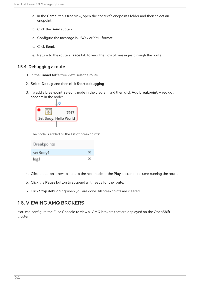- a. In the Camel tab's tree view, open the context's endpoints folder and then select an endpoint.
- b. Click the Send subtab.
- c. Configure the message in JSON or XML format.
- d. Click Send.
- e. Return to the route's Trace tab to view the flow of messages through the route.

#### <span id="page-27-0"></span>1.5.4. Debugging a route

- 1. In the Camel tab's tree view, select a route.
- 2. Select Debug, and then click Start debugging.
- 3. To add a breakpoint, select a node in the diagram and then click Add breakpoint. A red dot appears in the node:



The node is added to the list of breakpoints:

| Breakpoints |   |
|-------------|---|
| setBody1    |   |
| log1        | × |

- 4. Click the down arrow to step to the next node or the Play button to resume running the route.
- 5. Click the Pause button to suspend all threads for the route.
- 6. Click Stop debugging when you are done. All breakpoints are cleared.

# <span id="page-27-1"></span>1.6. VIEWING AMQ BROKERS

You can configure the Fuse Console to view all AMQ brokers that are deployed on the OpenShift cluster.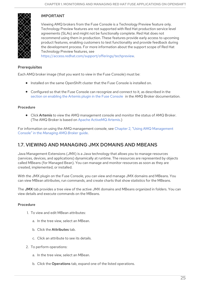

### IMPORTANT

Viewing AMQ brokers from the Fuse Console is a Technology Preview feature only. Technology Preview features are not supported with Red Hat production service level agreements (SLAs) and might not be functionally complete. Red Hat does not recommend using them in production. These features provide early access to upcoming product features, enabling customers to test functionality and provide feedback during the development process. For more information about the support scope of Red Hat Technology Preview features, see

[https://access.redhat.com/support/offerings/techpreview.](https://access.redhat.com/support/offerings/techpreview)

#### **Prerequisites**

Each AMQ broker image (that you want to view in the Fuse Console) must be:

- **•** Installed on the same OpenShift cluster that the Fuse Console is installed on.
- Configured so that the Fuse Console can recognize and connect to it, as described in the section on [enabling](https://access.redhat.com/documentation/en-us/red_hat_amq/2020.q4/html-single/deploying_amq_broker_on_openshift/index#proc-br-viewing-brokers-in-the-fuse-console_broker-ocp) the Artemis plugin in the Fuse Console in the AMQ Broker documentation.

#### Procedure

• Click Artemis to view the AMQ management console and monitor the status of AMQ Broker. (The AMQ Broker is based on Apache [ActiveMQ](https://activemq.apache.org/components/artemis/) Artemis.)

For information on using the AMQ management console, see Chapter 2, "Using AMQ [Management](https://access.redhat.com/documentation/en-us/red_hat_amq/7.7/html/managing_amq_broker/assembly-using-amq-console-managing) Console" in the *Managing AMQ Broker* guide.

# <span id="page-28-0"></span>1.7. VIEWING AND MANAGING JMX DOMAINS AND MBEANS

Java Management Extensions (JMX) is a Java technology that allows you to manage resources (services, devices, and applications) dynamically at runtime. The resources are represented by objects called MBeans (for Managed Bean). You can manage and monitor resources as soon as they are created, implemented, or installed.

With the JMX plugin on the Fuse Console, you can view and manage JMX domains and MBeans. You can view MBean attributes, run commands, and create charts that show statistics for the MBeans.

The JMX tab provides a tree view of the active JMX domains and MBeans organized in folders. You can view details and execute commands on the MBeans.

#### Procedure

- 1. To view and edit MBean attributes:
	- a. In the tree view, select an MBean.
	- b. Click the Attributes tab.
	- c. Click an attribute to see its details.
- 2. To perform operations:
	- a. In the tree view, select an MBean.
	- b. Click the Operations tab, expand one of the listed operations.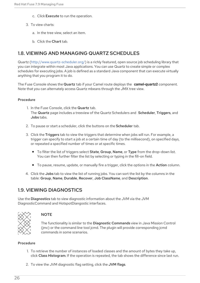- c. Click Execute to run the operation.
- 3. To view charts:
	- a. In the tree view, select an item.
	- b. Click the Chart tab.

# <span id="page-29-0"></span>1.8. VIEWING AND MANAGING QUARTZ SCHEDULES

Quartz [\(http://www.quartz-scheduler.org/\)](http://www.quartz-scheduler.org/) is a richly featured, open source job scheduling library that you can integrate within most Java applications. You can use Quartz to create simple or complex schedules for executing jobs. A job is defined as a standard Java component that can execute virtually anything that you program it to do.

The Fuse Console shows the Quartz tab if your Camel route deploys the **camel-quartz2** component. Note that you can alternately access Quartz mbeans through the JMX tree view.

#### Procedure

- 1. In the Fuse Console, click the Quartz tab. The Quartz page includes a treeview of the Quartz Schedulers and Scheduler, Triggers, and Jobs tabs.
- 2. To pause or start a scheduler, click the buttons on the Scheduler tab.
- 3. Click the Triggers tab to view the triggers that determine when jobs will run. For example, a trigger can specify to start a job at a certain time of day (to the millisecond), on specified days, or repeated a specified number of times or at specific times.
	- To filter the list of triggers select State, Group, Name, or Type from the drop-down list. You can then further filter the list by selecting or typing in the fill-on field.
	- To pause, resume, update, or manually fire a trigger, click the options in the Action column.
- 4. Click the Jobs tab to view the list of running jobs. You can sort the list by the columns in the table: Group, Name, Durable, Recover, Job ClassName, and Description.

### <span id="page-29-1"></span>1.9. VIEWING DIAGNOSTICS

Use the Diagnostics tab to view diagnostic information about the JVM via the JVM DiagnosticCommand and HotspotDiangostic interfaces.



#### **NOTE**

The functionality is similar to the Diagnostic Commands view in Java Mission Control (jmc) or the command line tool jcmd. The plugin will provide corresponding jcmd commands in some scenarios.

#### Procedure

- 1. To retrieve the number of instances of loaded classes and the amount of bytes they take up, click Class Histogram. If the operation is repeated, the tab shows the difference since last run.
- 2. To view the JVM diagnostic flag setting, click the JVM flags.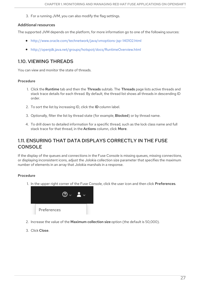3. For a running JVM, you can also modify the flag settings.

#### Additional resources

The supported JVM depends on the platform, for more information go to one of the following sources:

- <http://www.oracle.com/technetwork/java/vmoptions-jsp-140102.html>
- <http://openjdk.java.net/groups/hotspot/docs/RuntimeOverview.html>

# <span id="page-30-0"></span>1.10. VIEWING THREADS

You can view and monitor the state of threads.

#### Procedure

- 1. Click the Runtime tab and then the Threads subtab. The Threads page lists active threads and stack trace details for each thread. By default, the thread list shows all threads in descending ID order.
- 2. To sort the list by increasing ID, click the ID column label.
- 3. Optionally, filter the list by thread state (for example, Blocked) or by thread name.
- 4. To drill down to detailed information for a specific thread, such as the lock class name and full stack trace for that thread, in the Actions column, click More.

# <span id="page-30-1"></span>1.11. ENSURING THAT DATA DISPLAYS CORRECTLY IN THE FUSE CONSOLE

If the display of the queues and connections in the Fuse Console is missing queues, missing connections, or displaying inconsistent icons, adjust the Jolokia collection size parameter that specifies the maximum number of elements in an array that Jolokia marshals in a response.

#### Procedure

1. In the upper right corner of the Fuse Console, click the user icon and then click Preferences.



- 2. Increase the value of the Maximum collection size option (the default is 50,000).
- 3. Click Close.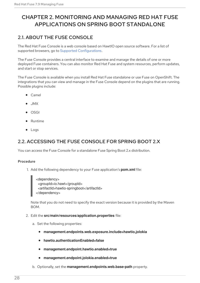# <span id="page-31-0"></span>CHAPTER 2. MONITORING AND MANAGING RED HAT FUSE APPLICATIONS ON SPRING BOOT STANDALONE

# <span id="page-31-1"></span>2.1. ABOUT THE FUSE CONSOLE

The Red Hat Fuse Console is a web console based on HawtIO open source software. For a list of supported browsers, go to Supported [Configurations.](https://access.redhat.com/articles/310603)

The Fuse Console provides a central interface to examine and manage the details of one or more deployed Fuse containers. You can also monitor Red Hat Fuse and system resources, perform updates, and start or stop services.

The Fuse Console is available when you install Red Hat Fuse standalone or use Fuse on OpenShift. The integrations that you can view and manage in the Fuse Console depend on the plugins that are running. Possible plugins include:

- Camel
- JMX
- OSGI
- Runtime
- Logs

# <span id="page-31-2"></span>2.2. ACCESSING THE FUSE CONSOLE FOR SPRING BOOT 2.X

You can access the Fuse Console for a standalone Fuse Spring Boot 2.x distribution.

#### Procedure

1. Add the following dependency to your Fuse application's **pom.xml** file:

<dependency> <groupId>io.hawt</groupId> <artifactId>hawtio-springboot</artifactId> </dependency>

Note that you do not need to specify the exact version because it is provided by the Maven BOM.

- 2. Edit the **src/main/resources/application.properties** file:
	- a. Set the following properties:
		- **management.endpoints.web.exposure.include=hawtio,jolokia**
		- **hawtio.authenticationEnabled=false**
		- **management.endpoint.hawtio.enabled=true**  $\bullet$
		- **management.endpoint.jolokia.enabled=true**  $\bullet$
	- b. Optionally, set the **management.endpoints.web.base-path** property.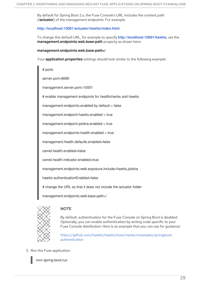By default for Spring Boot 2.x, the Fuse Console's URL includes the context path (**/actuator**) of the management endpoints. For example:

#### **<http://localhost:10001/actuator/hawtio/index.html>**

To change this default URL, for example to specify **<http://localhost:10001/hawtio>**, set the **management.endpoints.web.base-path** property as shown here:

#### **management.endpoints.web.base-path=/**

Your **application.properties** settings should look similar to the following example:

# ports server.port=8080 management.server.port=10001 # enable management endpoints for healthchecks and hawtio  $management.endpoints. enabled-by-default = false$  $m$ anagement.endpoint.hawtio.enabled = true management.endpoint.jolokia.enabled = true  $m$ anagement.endpoints.health.enabled = true management.health.defaults.enabled=false camel.health.enabled=false camel.health.indicator.enabled=true management.endpoints.web.exposure.include=hawtio,jolokia hawtio.authenticationEnabled=false # change the URL so that it does not include the actuator folder management.endpoints.web.base-path=/



#### **NOTE**

By default, authentication for the Fuse Console on Spring Boot is disabled. Optionally, you can enable authentication by writing code specific to your Fuse Console distribution. Here is an example that you can use for guidance:

[https://github.com/hawtio/hawtio/tree/master/examples/springboot](https://github.com/hawtio/hawtio/tree/master/examples/springboot-authentication)authentication

3. Run the Fuse application:

mvn spring-boot:run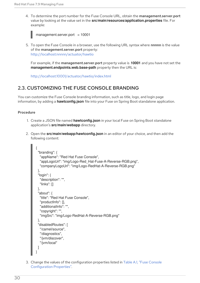4. To determine the port number for the Fuse Console URL, obtain the management.server.port value by looking at the value set in the **src/main/resources/application.properties** file. For example:



5. To open the Fuse Console in a browser, use the following URL syntax where nnnnn is the value of the management.server.port property: [http://localhost:nnnnn/actuator/hawtio](#page-42-1)

For example, if the management.server.port property value is **10001** and you have not set the **management.endpoints.web.base-path** property then the URL is:

<http://localhost:10001/actuator/hawtio/index.html>

# <span id="page-33-0"></span>2.3. CUSTOMIZING THE FUSE CONSOLE BRANDING

You can customize the Fuse Console branding information, such as title, logo, and login page information, by adding a **hawtconfig.json** file into your Fuse on Spring Boot standalone application.

#### Procedure

- 1. Create a JSON file named **hawtconfig.json** in your local Fuse on Spring Boot standalone application's **src/main/webapp** directory.
- 2. Open the **src/main/webapp/hawtconfig.json** in an editor of your choice, and then add the following content:

```
{
 "branding": {
  "appName": "Red Hat Fuse Console",
  "appLogoUrl": "img/Logo-Red_Hat-Fuse-A-Reverse-RGB.png",
  "companyLogoUrl": "img/Logo-RedHat-A-Reverse-RGB.png"
 },
 "login": {
  "description": "",
  "links": []
 },
 "about": {
  "title": "Red Hat Fuse Console",
  "productInfo": [],
  "additionalInfo": "",
  "copyright": "",
  "imgSrc": "img/Logo-RedHat-A-Reverse-RGB.png"
 },
 "disabledRoutes": [
  "/camel/source",
  "/diagnostics",
  "/jvm/discover",
  "/jvm/local"
 ]
}
```
3. Change the values of the configuration properties listed in Table A.1, "Fuse Console [Configuration](#page-76-0) Properties".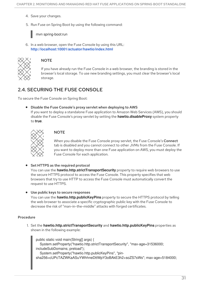- 4. Save your changes.
- 5. Run Fuse on Spring Boot by using the following command:

mvn spring-boot:run

6. In a web browser, open the Fuse Console by using this URL: **<http://localhost:10001/actuator/hawtio/index.html>**



#### **NOTE**

If you have already run the Fuse Console in a web browser, the branding is stored in the browser's local storage. To use new branding settings, you must clear the browser's local storage.

# <span id="page-34-0"></span>2.4. SECURING THE FUSE CONSOLE

To secure the Fuse Console on Spring Boot:

Disable the Fuse Console's proxy servlet when deploying to AWS If you want to deploy a standalone Fuse application to Amazon Web Services (AWS), you should disable the Fuse Console's proxy servlet by setting the **hawtio.disableProxy** system property to **true**.



#### **NOTE**

When you disable the Fuse Console proxy servlet, the Fuse Console's Connect tab is disabled and you cannot connect to other JVMs from the Fuse Console. If you want to deploy more than one Fuse application on AWS, you must deploy the Fuse Console for each application.

#### • Set HTTPS as the required protocol

You can use the **hawtio.http.strictTransportSecurity** property to require web browsers to use the secure HTTPS protocol to access the Fuse Console. This property specifies that web browsers that try to use HTTP to access the Fuse Console must automatically convert the request to use HTTPS.

#### Use public keys to secure responses

You can use the **hawtio.http.publicKeyPins** property to secure the HTTPS protocol by telling the web browser to associate a specific cryptographic public key with the Fuse Console to decrease the risk of "man-in-the-middle" attacks with forged certificates.

#### Procedure

1. Set the **hawtio.http.strictTransportSecurity** and **hawtio.http.publicKeyPins** properties as shown in the following example:

public static void main(String[] args) { System.setProperty("hawtio.http.strictTransportSecurity", "max-age=31536000; includeSubDomains; preload"); System.setProperty("hawtio.http.publicKeyPins", "pin-

sha256=cUPcTAZWKaASuYWhhneDttWpY3oBAkE3h2+soZS7sWs"; max-age=5184000;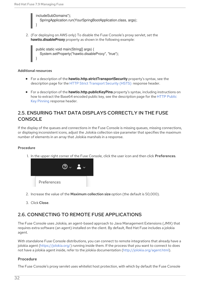includeSubDomains"); SpringApplication.run(YourSpringBootApplication.class, args); }

2. (For deploying on AWS only) To disable the Fuse Console's proxy servlet, set the **hawtio.disableProxy** property as shown in the following example:

public static void main(String[] args) { System.setProperty("hawtio.disableProxy", "true"); }

#### Additional resources

- For a description of the **hawtio.http.strictTransportSecurity** property's syntax, see the description page for the HTTP Strict [Transport](https://developer.mozilla.org/en-US/docs/Web/HTTP/Headers/Strict-Transport-Security) Security (HSTS) response header.
- For a description of the **hawtio.http.publicKeyPins** property's syntax, including instructions on how to extract the Base64 encoded public key, see the [description](https://developer.mozilla.org/en-US/docs/Web/HTTP/Public_Key_Pinning) page for the HTTP Public Key Pinning response header.

# <span id="page-35-0"></span>2.5. ENSURING THAT DATA DISPLAYS CORRECTLY IN THE FUSE CONSOLE

If the display of the queues and connections in the Fuse Console is missing queues, missing connections, or displaying inconsistent icons, adjust the Jolokia collection size parameter that specifies the maximum number of elements in an array that Jolokia marshals in a response.

#### Procedure

1. In the upper right corner of the Fuse Console, click the user icon and then click Preferences.



- 2. Increase the value of the Maximum collection size option (the default is 50,000).
- 3. Click Close.

# <span id="page-35-1"></span>2.6. CONNECTING TO REMOTE FUSE APPLICATIONS

The Fuse Console uses Jolokia, an agent-based approach to Java Management Extensions (JMX) that requires extra software (an agent) installed on the client. By default, Red Hat Fuse includes a jolokia agent.

With standalone Fuse Console distributions, you can connect to remote integrations that already have a jolokia agent [\(https://jolokia.org/\)](https://jolokia.org/) running inside them. If the process that you want to connect to does not have a jolokia agent inside, refer to the jolokia documentation [\(http://jolokia.org/agent.html](http://jolokia.org/agent.html)).

#### Procedure

The Fuse Console's proxy servlet uses whitelist host protection, with which by default the Fuse Console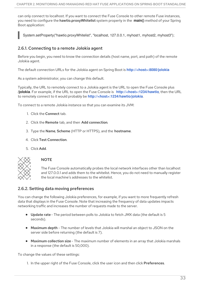can only connect to localhost. If you want to connect the Fuse Console to other remote Fuse instances, you need to configure the hawtio.proxyWhitelist system property in the **main()** method of your Spring Boot application:

System.setProperty("hawtio.proxyWhitelist", "localhost, 127.0.0.1, myhost1, myhost2, myhost3");

## 2.6.1. Connecting to a remote Jolokia agent

Before you begin, you need to know the connection details (host name, port, and path) of the remote Jolokia agent.

The default connection URLs for the Jolokia agent on Spring Boot is **[http://<host>:8080/jolokia](http://:8080/jolokia)**

As a system administrator, you can change this default.

Typically, the URL to remotely connect to a Jolokia agent is the URL to open the Fuse Console plus **/jolokia**. For example, if the URL to open the Fuse Console is **[http://<host>:1234/hawtio](http://:1234/hawtio)**, then the URL to remotely connect to it would probably be **[http://<host>:1234/hawtio/jolokia](http://:1234/hawtio/jolokia)**.

To connect to a remote Jolokia instance so that you can examine its JVM:

- 1. Click the Connect tab.
- 2. Click the Remote tab, and then Add connection.
- 3. Type the Name, Scheme (HTTP or HTTPS), and the hostname.
- 4. Click Test Connection.
- 5. Click Add.



#### **NOTE**

The Fuse Console automatically probes the local network interfaces other than localhost and 127.0.0.1 and adds them to the whitelist. Hence, you do not need to manually register the local machine's addresses to the whitelist.

### 2.6.2. Setting data moving preferences

You can change the following Jolokia preferences, for example, if you want to more frequently refresh data that displays in the Fuse Console. Note that increasing the frequency of data updates impacts networking traffic and increases the number of requests made to the server.

- Update rate The period between polls to Jolokia to fetch JMX data (the default is 5 seconds).
- Maximum depth The number of levels that Jolokia will marshal an object to JSON on the server side before returning (the default is 7).
- Maximum collection size The maximum number of elements in an array that Jolokia marshals in a response (the default is 50,000).

To change the values of these settings:

1. In the upper right of the Fuse Console, click the user icon and then click Preferences.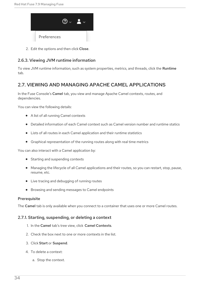

2. Edit the options and then click Close.

## 2.6.3. Viewing JVM runtime information

To view JVM runtime information, such as system properties, metrics, and threads, click the **Runtime** tab.

## 2.7. VIEWING AND MANAGING APACHE CAMEL APPLICATIONS

In the Fuse Console's Camel tab, you view and manage Apache Camel contexts, routes, and dependencies.

You can view the following details:

- A list of all running Camel contexts
- Detailed information of each Camel context such as Camel version number and runtime statics
- Lists of all routes in each Camel application and their runtime statistics
- Graphical representation of the running routes along with real time metrics

You can also interact with a Camel application by:

- Starting and suspending contexts
- Managing the lifecycle of all Camel applications and their routes, so you can restart, stop, pause, resume, etc.
- Live tracing and debugging of running routes
- Browsing and sending messages to Camel endpoints

#### **Prerequisite**

The Camel tab is only available when you connect to a container that uses one or more Camel routes.

### 2.7.1. Starting, suspending, or deleting a context

- 1. In the Camel tab's tree view, click Camel Contexts.
- 2. Check the box next to one or more contexts in the list.
- 3. Click Start or Suspend.
- 4. To delete a context:
	- a. Stop the context.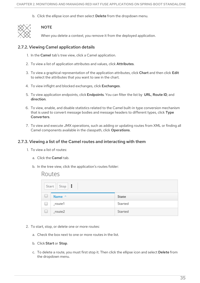b. Click the ellipse icon and then select Delete from the dropdown menu.



## **NOTE**

When you delete a context, you remove it from the deployed application.

## 2.7.2. Viewing Camel application details

- 1. In the Camel tab's tree view, click a Camel application.
- 2. To view a list of application attributes and values, click Attributes.
- 3. To view a graphical representation of the application attributes, click Chart and then click Edit to select the attributes that you want to see in the chart.
- 4. To view inflight and blocked exchanges, click Exchanges.
- 5. To view application endpoints, click Endpoints. You can filter the list by URL, Route ID, and direction.
- 6. To view, enable, and disable statistics related to the Camel built-in type conversion mechanism that is used to convert message bodies and message headers to different types, click Type Converters.
- 7. To view and execute JMX operations, such as adding or updating routes from XML or finding all Camel components available in the classpath, click Operations.

## 2.7.3. Viewing a list of the Camel routes and interacting with them

- 1. To view a list of routes:
	- a. Click the Camel tab.
	- b. In the tree view, click the application's routes folder:

## Routes

|        | $Start \mid Stop \mid$ |         |
|--------|------------------------|---------|
| $\Box$ | Name ^                 | State   |
| $\Box$ | $_$ route $1$          | Started |
| $\Box$ | $_$ route $2$          | Started |

- 2. To start, stop, or delete one or more routes:
	- a. Check the box next to one or more routes in the list.
	- b. Click Start or Stop.
	- c. To delete a route, you must first stop it. Then click the ellipse icon and select Delete from the dropdown menu.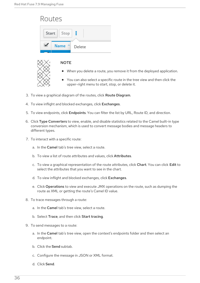|       | Routes                                                                                                                       |
|-------|------------------------------------------------------------------------------------------------------------------------------|
| Start | Stop                                                                                                                         |
|       | Name<br>Delete                                                                                                               |
|       | <b>NOTE</b>                                                                                                                  |
|       | When you delete a route, you remove it from the deployed application.<br>$\bullet$                                           |
|       | • You can also select a specific route in the tree view and then click the<br>upper-right menu to start, stop, or delete it. |

- 3. To view a graphical diagram of the routes, click Route Diagram.
- 4. To view inflight and blocked exchanges, click Exchanges.
- 5. To view endpoints, click Endpoints. You can filter the list by URL, Route ID, and direction.
- 6. Click Type Converters to view, enable, and disable statistics related to the Camel built-in type conversion mechanism, which is used to convert message bodies and message headers to different types.
- 7. To interact with a specific route:
	- a. In the Camel tab's tree view, select a route.
	- b. To view a list of route attributes and values, click Attributes.
	- c. To view a graphical representation of the route attributes, click Chart. You can click Edit to select the attributes that you want to see in the chart.
	- d. To view inflight and blocked exchanges, click Exchanges.
	- e. Click Operations to view and execute JMX operations on the route, such as dumping the route as XML or getting the route's Camel ID value.
- 8. To trace messages through a route:
	- a. In the Camel tab's tree view, select a route.
	- b. Select Trace, and then click Start tracing.
- 9. To send messages to a route:
	- a. In the Camel tab's tree view, open the context's endpoints folder and then select an endpoint.
	- b. Click the Send subtab.
	- c. Configure the message in JSON or XML format.
	- d. Click Send.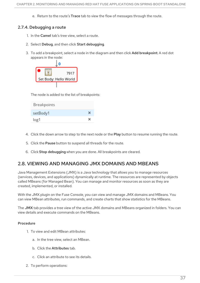e. Return to the route's Trace tab to view the flow of messages through the route.

## 2.7.4. Debugging a route

- 1. In the **Camel** tab's tree view, select a route.
- 2. Select Debug, and then click Start debugging.
- 3. To add a breakpoint, select a node in the diagram and then click Add breakpoint. A red dot appears in the node:



The node is added to the list of breakpoints:

| Breakpoints |   |
|-------------|---|
| setBody1    |   |
| log1        | × |

- 4. Click the down arrow to step to the next node or the Play button to resume running the route.
- 5. Click the Pause button to suspend all threads for the route.
- 6. Click Stop debugging when you are done. All breakpoints are cleared.

## 2.8. VIEWING AND MANAGING JMX DOMAINS AND MBEANS

Java Management Extensions (JMX) is a Java technology that allows you to manage resources (services, devices, and applications) dynamically at runtime. The resources are represented by objects called MBeans (for Managed Bean). You can manage and monitor resources as soon as they are created, implemented, or installed.

With the JMX plugin on the Fuse Console, you can view and manage JMX domains and MBeans. You can view MBean attributes, run commands, and create charts that show statistics for the MBeans.

The JMX tab provides a tree view of the active JMX domains and MBeans organized in folders. You can view details and execute commands on the MBeans.

- 1. To view and edit MBean attributes:
	- a. In the tree view, select an MBean.
	- b. Click the Attributes tab.
	- c. Click an attribute to see its details.
- 2. To perform operations: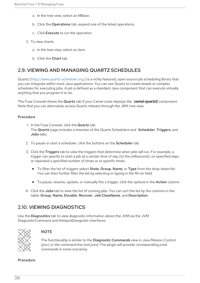- a. In the tree view, select an MBean.
- b. Click the Operations tab, expand one of the listed operations.
- c. Click Execute to run the operation.
- 3. To view charts:
	- a. In the tree view, select an item.
	- b. Click the Chart tab.

## 2.9. VIEWING AND MANAGING QUARTZ SCHEDULES

Quartz [\(http://www.quartz-scheduler.org/\)](http://www.quartz-scheduler.org/) is a richly featured, open source job scheduling library that you can integrate within most Java applications. You can use Quartz to create simple or complex schedules for executing jobs. A job is defined as a standard Java component that can execute virtually anything that you program it to do.

The Fuse Console shows the Quartz tab if your Camel route deploys the **camel-quartz2** component. Note that you can alternately access Quartz mbeans through the JMX tree view.

#### Procedure

- 1. In the Fuse Console, click the Quartz tab. The Quartz page includes a treeview of the Quartz Schedulers and Scheduler, Triggers, and Jobs tabs.
- 2. To pause or start a scheduler, click the buttons on the Scheduler tab.
- 3. Click the Triggers tab to view the triggers that determine when jobs will run. For example, a trigger can specify to start a job at a certain time of day (to the millisecond), on specified days, or repeated a specified number of times or at specific times.
	- To filter the list of triggers select State, Group, Name, or Type from the drop-down list. You can then further filter the list by selecting or typing in the fill-on field.
	- To pause, resume, update, or manually fire a trigger, click the options in the Action column.
- 4. Click the Jobs tab to view the list of running jobs. You can sort the list by the columns in the table: Group, Name, Durable, Recover, Job ClassName, and Description.

## 2.10. VIEWING DIAGNOSTICS

Use the Diagnostics tab to view diagnostic information about the JVM via the JVM DiagnosticCommand and HotspotDiangostic interfaces.



## **NOTE**

The functionality is similar to the Diagnostic Commands view in Java Mission Control (jmc) or the command line tool jcmd. The plugin will provide corresponding jcmd commands in some scenarios.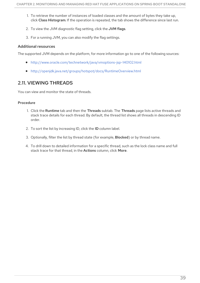- 1. To retrieve the number of instances of loaded classes and the amount of bytes they take up, click Class Histogram. If the operation is repeated, the tab shows the difference since last run.
- 2. To view the JVM diagnostic flag setting, click the JVM flags.
- 3. For a running JVM, you can also modify the flag settings.

#### Additional resources

The supported JVM depends on the platform, for more information go to one of the following sources:

- <http://www.oracle.com/technetwork/java/vmoptions-jsp-140102.html>
- <http://openjdk.java.net/groups/hotspot/docs/RuntimeOverview.html>

## 2.11. VIEWING THREADS

You can view and monitor the state of threads.

- 1. Click the Runtime tab and then the Threads subtab. The Threads page lists active threads and stack trace details for each thread. By default, the thread list shows all threads in descending ID order.
- 2. To sort the list by increasing ID, click the ID column label.
- 3. Optionally, filter the list by thread state (for example, Blocked) or by thread name.
- 4. To drill down to detailed information for a specific thread, such as the lock class name and full stack trace for that thread, in the Actions column, click More.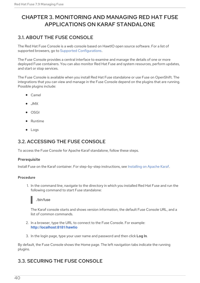# CHAPTER 3. MONITORING AND MANAGING RED HAT FUSE APPLICATIONS ON KARAF STANDALONE

# 3.1. ABOUT THE FUSE CONSOLE

The Red Hat Fuse Console is a web console based on HawtIO open source software. For a list of supported browsers, go to Supported [Configurations.](https://access.redhat.com/articles/310603)

The Fuse Console provides a central interface to examine and manage the details of one or more deployed Fuse containers. You can also monitor Red Hat Fuse and system resources, perform updates, and start or stop services.

The Fuse Console is available when you install Red Hat Fuse standalone or use Fuse on OpenShift. The integrations that you can view and manage in the Fuse Console depend on the plugins that are running. Possible plugins include:

- Camel
- JMX
- OSGI
- Runtime
- Logs

## 3.2. ACCESSING THE FUSE CONSOLE

To access the Fuse Console for Apache Karaf standalone, follow these steps.

### **Prerequisite**

Install Fuse on the Karaf container. For step-by-step instructions, see [Installing](https://access.redhat.com/documentation/en-us/red_hat_fuse/7.9/html-single/installing_on_apache_karaf/index) on Apache Karaf.

### Procedure

1. In the command line, navigate to the directory in which you installed Red Hat Fuse and run the following command to start Fuse standalone:



The Karaf console starts and shows version information, the default Fuse Console URL, and a list of common commands.

- 2. In a browser, type the URL to connect to the Fuse Console. For example: **<http://localhost:8181/hawtio>**
- 3. In the login page, type your user name and password and then click Log In.

By default, the Fuse Console shows the Home page. The left navigation tabs indicate the running plugins.

## 3.3. SECURING THE FUSE CONSOLE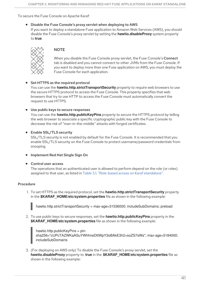To secure the Fuse Console on Apache Karaf:

#### Disable the Fuse Console's proxy servlet when deploying to AWS

If you want to deploy a standalone Fuse application to Amazon Web Services (AWS), you should disable the Fuse Console's proxy servlet by setting the **hawtio.disableProxy** system property to **true**.



### **NOTE**

When you disable the Fuse Console proxy servlet, the Fuse Console's Connect tab is disabled and you cannot connect to other JVMs from the Fuse Console. If you want to deploy more than one Fuse application on AWS, you must deploy the Fuse Console for each application.

### • Set HTTPS as the required protocol

You can use the **hawtio.http.strictTransportSecurity** property to require web browsers to use the secure HTTPS protocol to access the Fuse Console. This property specifies that web browsers that try to use HTTP to access the Fuse Console must automatically convert the request to use HTTPS.

#### Use public keys to secure responses

You can use the **hawtio.http.publicKeyPins** property to secure the HTTPS protocol by telling the web browser to associate a specific cryptographic public key with the Fuse Console to decrease the risk of "man-in-the-middle" attacks with forged certificates.

### Enable SSL/TLS security

SSL/TLS security is not enabled by default for the Fuse Console. It is recommended that you enable SSL/TLS security on the Fuse Console to protect username/password credentials from snooping.

**•** Implement Red Hat Single Sign On

#### Control user access

The operations that an authenticated user is allowed to perform depend on the role (or roles) assigned to that user, as listed in Table 3.1, ["Role-based](#page-46-0) access on Karaf standalone".

#### Procedure

1. To set HTTPS as the required protocol, set the **hawtio.http.strictTransportSecurity** property in the **\$KARAF** HOME/etc/system.properties file as shown in the following example:

hawtio.http.strictTransportSecurity = max-age=31536000; includeSubDomains; preload

2. To use public keys to secure responses, set the **hawtio.http.publicKeyPins** property in the **\$KARAF\_HOME/etc/system.properties** file as shown in the following example:

hawtio.http.publicKeyPins = pinsha256="cUPcTAZWKaASuYWhhneDttWpY3oBAkE3h2+soZS7sWs"; max-age=5184000; includeSubDomains

3. (For deploying on AWS only) To disable the Fuse Console's proxy servlet, set the **hawtio.disableProxy** property to **true** in the **\$KARAF\_HOME/etc/system.properties** file as shown in the following example: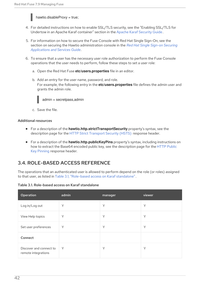

- 4. For detailed instructions on how to enable SSL/TLS security, see the "Enabling SSL/TLS for Undertow in an Apache Karaf container" section in the Apache Karaf [Security](https://access.redhat.com/documentation/en-us/red_hat_fuse/7.9/html-single/apache_karaf_security_guide/index) Guide .
- 5. For information on how to secure the Fuse Console with Red Hat Single Sign-On, see the section on securing the Hawtio [administration](https://access.redhat.com/documentation/en-us/red_hat_single_sign-on/7.2/html-single/securing_applications_and_services_guide/index#fuse7_hawtio) console in the *Red Hat Single Sign-on Securing Applications and Services Guide*.
- 6. To ensure that a user has the necessary user role authorization to perform the Fuse Console operations that the user needs to perform, follow these steps to set a user role:
	- a. Open the Red Hat Fuse **etc/users.properties** file in an editor.
	- b. Add an entry for the user name, password, and role. For example, the following entry in the **etc/users.properties** file defines the admin user and grants the admin role.



admin = secretpass,admin

c. Save the file.

#### Additional resources

- For a description of the **hawtio.http.strictTransportSecurity** property's syntax, see the description page for the HTTP Strict [Transport](https://developer.mozilla.org/en-US/docs/Web/HTTP/Headers/Strict-Transport-Security) Security (HSTS) response header.
- For a description of the **hawtio.http.publicKeyPins** property's syntax, including instructions on how to extract the Base64 encoded public key, see the [description](https://developer.mozilla.org/en-US/docs/Web/HTTP/Public_Key_Pinning) page for the HTTP Public Key Pinning response header.

## 3.4. ROLE-BASED ACCESS REFERENCE

The operations that an authenticated user is allowed to perform depend on the role (or roles) assigned to that user, as listed in Table 3.1, ["Role-based](#page-46-0) access on Karaf standalone".

#### Table 3.1. Role-based access on Karaf standalone

| Operation                                      | $\overline{\mathsf{admin}}$ | manager | viewer |
|------------------------------------------------|-----------------------------|---------|--------|
| Log in/Log out                                 | Υ                           | Υ       | Y      |
| View Help topics                               | Υ                           | Υ       | Y      |
| Set user preferences                           | Υ                           | Υ       | Y      |
| Connect                                        |                             |         |        |
| Discover and connect to<br>remote integrations | Y                           | Υ       | Υ      |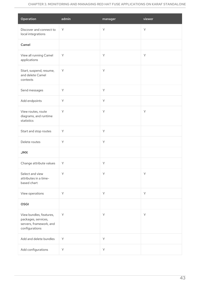<span id="page-46-0"></span>

| Operation                                                                                   | admin       | manager | viewer  |
|---------------------------------------------------------------------------------------------|-------------|---------|---------|
| Discover and connect to<br>local integrations                                               | Y           | Y       | Y       |
| Camel                                                                                       |             |         |         |
| View all running Camel<br>applications                                                      | Y           | Y       | Y       |
| Start, suspend, resume,<br>and delete Camel<br>contexts                                     | Y           | Y       |         |
| Send messages                                                                               | Y           | Y       |         |
| Add endpoints                                                                               | Y           | Y       |         |
| View routes, route<br>diagrams, and runtime<br>statistics                                   | Y           | Y       | Y       |
| Start and stop routes                                                                       | Y           | Y       |         |
| Delete routes                                                                               | Y           | Y       |         |
| <b>JMX</b>                                                                                  |             |         |         |
| Change attribute values                                                                     | Y           | Υ       |         |
| Select and view<br>attributes in a time-<br>based chart                                     | Y           | Y       | Y       |
| View operations                                                                             | Y           | Y       | $\sf Y$ |
| <b>OSGI</b>                                                                                 |             |         |         |
| View bundles, features,<br>packages, services,<br>servers, framework, and<br>configurations | $\mathsf Y$ | Y       | Y       |
| Add and delete bundles                                                                      | Y           | Y       |         |
| Add configurations                                                                          | Υ           | Y       |         |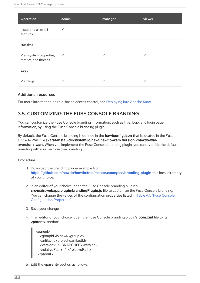| Operation                                       | admin | manager | viewer |
|-------------------------------------------------|-------|---------|--------|
| Install and uninstall<br>features               | Y     |         |        |
| Runtime                                         |       |         |        |
| View system properties,<br>metrics, and threads | Y     | Y       | Y      |
| Logs                                            |       |         |        |
| View logs                                       | Y     | Y       | Υ      |

### Additional resources

For more information on role-based access control, see [Deploying](https://access.redhat.com/documentation/en-us/red_hat_fuse/7.9/html-single/deploying_into_apache_karaf/index) into Apache Karaf.

## 3.5. CUSTOMIZING THE FUSE CONSOLE BRANDING

You can customize the Fuse Console branding information, such as title, logo, and login page information, by using the Fuse Console branding plugin.

By default, the Fuse Console branding is defined in the **hawtconfig.json** that is located in the Fuse Console WAR file (**karaf-install-dir/system/io/hawt/hawtio-war/<version>/hawtio-war- <version>.war**). When you implement the Fuse Console branding plugin, you can override the default branding with your own custom branding.

#### Procedure

- 1. Download the branding plugin example from **<https://github.com/hawtio/hawtio/tree/master/examples/branding-plugin>** to a local directory of your choice.
- 2. In an editor of your choice, open the Fuse Console branding plugin's **src/main/webapp/plugin/brandingPlugin.js** file to customize the Fuse Console branding. You can change the values of the configuration properties listed in Table A.1, "Fuse Console [Configuration](#page-76-0) Properties".
- 3. Save your changes.
- 4. In an editor of your choice, open the Fuse Console branding plugin's **pom.xml** file to its **<parent>** section:

<parent> <groupId>io.hawt</groupId> <artifactId>project</artifactId> <version>2.9-SNAPSHOT</version> <relativePath>../..</relativePath> </parent>

5. Edit the **<parent>** section as follows: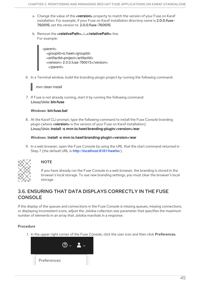- a. Change the value of the **<version>** property to match the version of your Fuse on Karaf installation. For example, if your Fuse on Karaf installation directory name is 2.0.0.fuse-760015, set the version to 2.0.0.fuse-760015.
- b. Remove the **<relativePath>../..</relativePath>** line. For example:

<parent> <groupId>io.hawt</groupId> <artifactId>project</artifactId> <version> 2.0.0.fuse-760015</version> </parent>

6. In a Terminal window, build the branding-plugin project by running the following command:

mvn clean install

7. If Fuse is not already running, start it by running the following command: Linux/Unix: **bin/fuse**

#### Windows: **bin\fuse.bat`**

8. At the Karaf CLI prompt, type the following command to install the Fuse Console branding plugin (where **<version>** is the version of your Fuse on Karaf installation): Linux/Unix: **install -s mvn:io.hawt/branding-plugin/<version>/war**

#### Windows: **install -s mvn:io.hawt\branding-plugin\<version>\war**

9. In a web browser, open the Fuse Console by using the URL that the start command returned in Step 7 (the default URL is **<http://localhost:8181/hawtio/>**).



## **NOTE**

If you have already run the Fuse Console in a web browser, the branding is stored in the browser's local storage. To use new branding settings, you must clear the browser's local storage.

## 3.6. ENSURING THAT DATA DISPLAYS CORRECTLY IN THE FUSE CONSOLE

If the display of the queues and connections in the Fuse Console is missing queues, missing connections, or displaying inconsistent icons, adjust the Jolokia collection size parameter that specifies the maximum number of elements in an array that Jolokia marshals in a response.

### Procedure

1. In the upper right corner of the Fuse Console, click the user icon and then click Preferences.

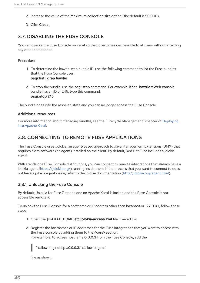- 2. Increase the value of the Maximum collection size option (the default is 50,000).
- 3. Click Close.

## 3.7. DISABLING THE FUSE CONSOLE

You can disable the Fuse Console on Karaf so that it becomes inaccessible to all users without affecting any other component.

#### Procedure

- 1. To determine the hawtio-web bundle ID, use the following command to list the Fuse bundles that the Fuse Console uses: **osgi:list | grep hawtio**
- 2. To stop the bundle, use the osgi:stop command. For example, if the hawtio :: Web console bundle has an ID of 246, type this command: **osgi:stop 246**

The bundle goes into the resolved state and you can no longer access the Fuse Console.

#### Additional resources

For more information about managing bundles, see the "Lifecycle [Management"](https://access.redhat.com/documentation/en-us/red_hat_fuse/7.9/html-single/deploying_into_apache_karaf/index) chapter of Deploying into Apache Karaf.

## 3.8. CONNECTING TO REMOTE FUSE APPLICATIONS

The Fuse Console uses Jolokia, an agent-based approach to Java Management Extensions (JMX) that requires extra software (an agent) installed on the client. By default, Red Hat Fuse includes a jolokia agent.

With standalone Fuse Console distributions, you can connect to remote integrations that already have a jolokia agent [\(https://jolokia.org/\)](https://jolokia.org/) running inside them. If the process that you want to connect to does not have a jolokia agent inside, refer to the jolokia documentation [\(http://jolokia.org/agent.html](http://jolokia.org/agent.html)).

## 3.8.1. Unlocking the Fuse Console

By default, Jolokia for Fuse 7 standalone on Apache Karaf is locked and the Fuse Console is not accessible remotely.

To unlock the Fuse Console for a hostname or IP address other than locahost or 127.0.0.1, follow these steps:

- 1. Open the **\$KARAF\_HOME/etc/jolokia-access.xml** file in an editor.
- 2. Register the hostnames or IP addresses for the Fuse integrations that you want to access with the Fuse console by adding them to the <cors> section. For example, to access hostname 0.0.0.3 from the Fuse Console, add the

\*<allow-origin>http://0.0.0.3:\*</allow-origin>\*

line as shown: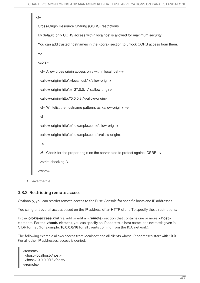```
۔۔|ے
       Cross-Origin Resource Sharing (CORS) restrictions
       By default, only CORS access within localhost is allowed for maximum security.
       You can add trusted hostnames in the <cors> section to unlock CORS access from them.
       -->
       <cors>
         <!-- Allow cross origin access only within localhost -->
         <allow-origin>http*://localhost:*</allow-origin>
         <allow-origin>http*://127.0.0.1:*</allow-origin>
         <allow-origin>http://0.0.0.3:*</allow-origin>
         <!-- Whitelist the hostname patterns as <allow-origin> -->
         \lt !--
         <allow-origin>http*://*.example.com</allow-origin>
         <allow-origin>http*://*.example.com:*</allow-origin>
         -->
         <!-- Check for the proper origin on the server side to protect against CSRF -->
         <strict-checking />
        </cors>
3. Save the file.
```
### 3.8.2. Restricting remote access

Optionally, you can restrict remote access to the Fuse Console for specific hosts and IP addresses.

You can grant overall access based on the IP address of an HTTP client. To specify these restrictions:

In the **jolokia-access.xml** file, add or edit a **<remote>** section that contains one or more **<host>** elements. For the **<host>** element, you can specify an IP address, a host name, or a netmask given in CIDR format (for example, **10.0.0.0/16** for all clients coming from the 10.0 network).

The following example allows access from localhost and all clients whose IP addresses start with **10.0**. For all other IP addresses, access is denied.

```
<remote>
<host>localhost</host>
<host>10.0.0.0/16</host>
</remote>
```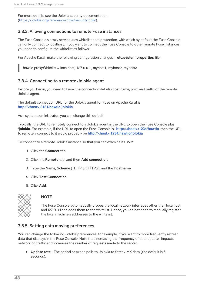For more details, see the Jolokia security documentation [\(https://jolokia.org/reference/html/security.html](https://jolokia.org/reference/html/security.html)).

## 3.8.3. Allowing connections to remote Fuse instances

The Fuse Console's proxy servlet uses whitelist host protection, with which by default the Fuse Console can only connect to localhost. If you want to connect the Fuse Console to other remote Fuse instances, you need to configure the whitelist as follows:

For Apache Karaf, make the following configuration changes in **etc/system.properties** file:

hawtio.proxyWhitelist = localhost, 127.0.0.1, myhost1, myhost2, myhost3

## 3.8.4. Connecting to a remote Jolokia agent

Before you begin, you need to know the connection details (host name, port, and path) of the remote Jolokia agent.

The default connection URL for the Jolokia agent for Fuse on Apache Karaf is **[http://<host>:8181/hawtio/jolokia](http://:8181/hawtio/jolokia)**.

As a system administrator, you can change this default.

Typically, the URL to remotely connect to a Jolokia agent is the URL to open the Fuse Console plus **/jolokia**. For example, if the URL to open the Fuse Console is **[http://<host>:1234/hawtio](http://:1234/hawtio)**, then the URL to remotely connect to it would probably be **[http://<host>:1234/hawtio/jolokia](http://:1234/hawtio/jolokia)**.

To connect to a remote Jolokia instance so that you can examine its JVM:

- 1. Click the Connect tab.
- 2. Click the Remote tab, and then Add connection.
- 3. Type the Name, Scheme (HTTP or HTTPS), and the hostname.
- 4. Click Test Connection.
- 5. Click Add.



#### **NOTE**

The Fuse Console automatically probes the local network interfaces other than localhost and 127.0.0.1 and adds them to the whitelist. Hence, you do not need to manually register the local machine's addresses to the whitelist.

### 3.8.5. Setting data moving preferences

You can change the following Jolokia preferences, for example, if you want to more frequently refresh data that displays in the Fuse Console. Note that increasing the frequency of data updates impacts networking traffic and increases the number of requests made to the server.

Update rate - The period between polls to Jolokia to fetch JMX data (the default is 5 seconds).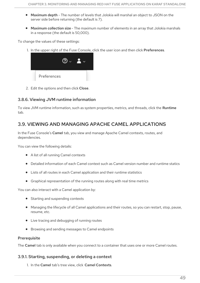- Maximum depth The number of levels that Jolokia will marshal an object to JSON on the server side before returning (the default is 7).
- Maximum collection size The maximum number of elements in an array that Jolokia marshals in a response (the default is 50,000).

To change the values of these settings:

1. In the upper right of the Fuse Console, click the user icon and then click Preferences.



2. Edit the options and then click Close.

## 3.8.6. Viewing JVM runtime information

To view JVM runtime information, such as system properties, metrics, and threads, click the Runtime tab.

## 3.9. VIEWING AND MANAGING APACHE CAMEL APPLICATIONS

In the Fuse Console's Camel tab, you view and manage Apache Camel contexts, routes, and dependencies.

You can view the following details:

- A list of all running Camel contexts
- Detailed information of each Camel context such as Camel version number and runtime statics
- Lists of all routes in each Camel application and their runtime statistics
- Graphical representation of the running routes along with real time metrics

You can also interact with a Camel application by:

- Starting and suspending contexts
- Managing the lifecycle of all Camel applications and their routes, so you can restart, stop, pause, resume, etc.
- Live tracing and debugging of running routes
- Browsing and sending messages to Camel endpoints

### **Prerequisite**

The Camel tab is only available when you connect to a container that uses one or more Camel routes.

## 3.9.1. Starting, suspending, or deleting a context

1. In the Camel tab's tree view, click Camel Contexts.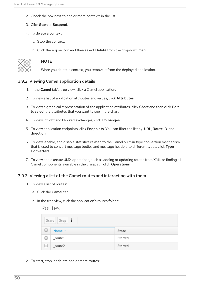- 2. Check the box next to one or more contexts in the list.
- 3. Click Start or Suspend.
- 4. To delete a context:
	- a. Stop the context.
	- b. Click the ellipse icon and then select Delete from the dropdown menu.



### **NOTE**

When you delete a context, you remove it from the deployed application.

### 3.9.2. Viewing Camel application details

- 1. In the Camel tab's tree view, click a Camel application.
- 2. To view a list of application attributes and values, click Attributes.
- 3. To view a graphical representation of the application attributes, click Chart and then click Edit to select the attributes that you want to see in the chart.
- 4. To view inflight and blocked exchanges, click Exchanges.
- 5. To view application endpoints, click Endpoints. You can filter the list by URL, Route ID, and direction.
- 6. To view, enable, and disable statistics related to the Camel built-in type conversion mechanism that is used to convert message bodies and message headers to different types, click Type Converters.
- 7. To view and execute JMX operations, such as adding or updating routes from XML or finding all Camel components available in the classpath, click Operations.

### 3.9.3. Viewing a list of the Camel routes and interacting with them

- 1. To view a list of routes:
	- a. Click the Camel tab.

Routes

b. In the tree view, click the application's routes folder:

| Start   Stop |           |         |
|--------------|-----------|---------|
| U            | Name ^    | State   |
| L            | _route1   | Started |
| U            | $_route2$ | Started |

2. To start, stop, or delete one or more routes: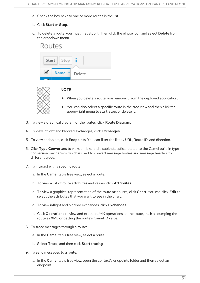- a. Check the box next to one or more routes in the list.
- b. Click Start or Stop.
- c. To delete a route, you must first stop it. Then click the ellipse icon and select Delete from the dropdown menu.

| Routes       |      |        |  |  |
|--------------|------|--------|--|--|
| Start   Stop |      |        |  |  |
|              | Name | Delete |  |  |



- **NOTE**
- When you delete a route, you remove it from the deployed application.
- You can also select a specific route in the tree view and then click the upper-right menu to start, stop, or delete it.
- 3. To view a graphical diagram of the routes, click Route Diagram.
- 4. To view inflight and blocked exchanges, click Exchanges.
- 5. To view endpoints, click Endpoints. You can filter the list by URL, Route ID, and direction.
- 6. Click Type Converters to view, enable, and disable statistics related to the Camel built-in type conversion mechanism, which is used to convert message bodies and message headers to different types.
- 7. To interact with a specific route:
	- a. In the Camel tab's tree view, select a route.
	- b. To view a list of route attributes and values, click Attributes.
	- c. To view a graphical representation of the route attributes, click Chart. You can click Edit to select the attributes that you want to see in the chart.
	- d. To view inflight and blocked exchanges, click Exchanges.
	- e. Click Operations to view and execute JMX operations on the route, such as dumping the route as XML or getting the route's Camel ID value.
- 8. To trace messages through a route:
	- a. In the Camel tab's tree view, select a route.
	- b. Select Trace, and then click Start tracing.
- 9. To send messages to a route:
	- a. In the Camel tab's tree view, open the context's endpoints folder and then select an endpoint.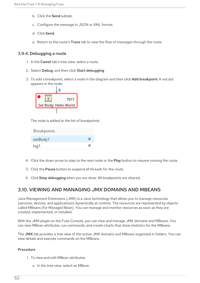- b. Click the Send subtab.
- c. Configure the message in JSON or XML format.
- d. Click Send.
- e. Return to the route's Trace tab to view the flow of messages through the route.

### 3.9.4. Debugging a route

- 1. In the Camel tab's tree view, select a route.
- 2. Select Debug, and then click Start debugging.
- 3. To add a breakpoint, select a node in the diagram and then click **Add breakpoint**. A red dot appears in the node:



The node is added to the list of breakpoints:

| Breakpoints |   |
|-------------|---|
| setBody1    | × |
| log1        | × |

- 4. Click the down arrow to step to the next node or the Play button to resume running the route.
- 5. Click the Pause button to suspend all threads for the route.
- 6. Click Stop debugging when you are done. All breakpoints are cleared.

## 3.10. VIEWING AND MANAGING JMX DOMAINS AND MBEANS

Java Management Extensions (JMX) is a Java technology that allows you to manage resources (services, devices, and applications) dynamically at runtime. The resources are represented by objects called MBeans (for Managed Bean). You can manage and monitor resources as soon as they are created, implemented, or installed.

With the JMX plugin on the Fuse Console, you can view and manage JMX domains and MBeans. You can view MBean attributes, run commands, and create charts that show statistics for the MBeans.

The JMX tab provides a tree view of the active JMX domains and MBeans organized in folders. You can view details and execute commands on the MBeans.

- 1. To view and edit MBean attributes:
	- a. In the tree view, select an MBean.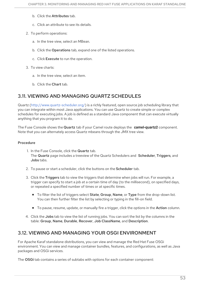- b. Click the Attributes tab.
- c. Click an attribute to see its details.
- 2. To perform operations:
	- a. In the tree view, select an MBean.
	- b. Click the Operations tab, expand one of the listed operations.
	- c. Click Execute to run the operation.
- 3. To view charts:
	- a. In the tree view, select an item.
	- b. Click the Chart tab.

## 3.11. VIEWING AND MANAGING QUARTZ SCHEDULES

Quartz [\(http://www.quartz-scheduler.org/\)](http://www.quartz-scheduler.org/) is a richly featured, open source job scheduling library that you can integrate within most Java applications. You can use Quartz to create simple or complex schedules for executing jobs. A job is defined as a standard Java component that can execute virtually anything that you program it to do.

The Fuse Console shows the Quartz tab if your Camel route deploys the **camel-quartz2** component. Note that you can alternately access Quartz mbeans through the JMX tree view.

#### Procedure

1. In the Fuse Console, click the Quartz tab.

The Quartz page includes a treeview of the Quartz Schedulers and Scheduler, Triggers, and Jobs tabs.

- 2. To pause or start a scheduler, click the buttons on the Scheduler tab.
- 3. Click the Triggers tab to view the triggers that determine when jobs will run. For example, a trigger can specify to start a job at a certain time of day (to the millisecond), on specified days, or repeated a specified number of times or at specific times.
	- To filter the list of triggers select State, Group, Name, or Type from the drop-down list. You can then further filter the list by selecting or typing in the fill-on field.
	- To pause, resume, update, or manually fire a trigger, click the options in the Action column.
- 4. Click the Jobs tab to view the list of running jobs. You can sort the list by the columns in the table: Group, Name, Durable, Recover, Job ClassName, and Description.

## 3.12. VIEWING AND MANAGING YOUR OSGI ENVIRONMENT

For Apache Karaf standalone distributions, you can view and manage the Red Hat Fuse OSGi environment. You can view and manage container bundles, features, and configurations, as well as Java packages and OSGi services.

The OSGi tab contains a series of subtabs with options for each container component: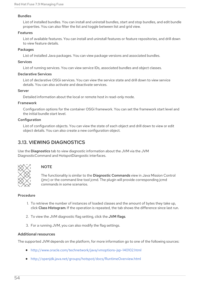#### Bundles

List of installed bundles. You can install and uninstall bundles, start and stop bundles, and edit bundle properties. You can also filter the list and toggle between list and grid view.

#### Features

List of available features. You can install and uninstall features or feature repositories, and drill down to view feature details.

#### **Packages**

List of installed Java packages. You can view package versions and associated bundles.

#### Services

List of running services. You can view service IDs, associated bundles and object classes.

#### Declarative Services

List of declarative OSGi services. You can view the service state and drill down to view service details. You can also activate and deactivate services.

#### Server

Detailed information about the local or remote host in read-only mode.

#### Framework

Configuration options for the container OSGi framework. You can set the framework start level and the initial bundle start level.

#### Configuration

List of configuration objects. You can view the state of each object and drill down to view or edit object details. You can also create a new configuration object.

## 3.13. VIEWING DIAGNOSTICS

Use the Diagnostics tab to view diagnostic information about the JVM via the JVM DiagnosticCommand and HotspotDiangostic interfaces.



### **NOTE**

The functionality is similar to the Diagnostic Commands view in Java Mission Control (jmc) or the command line tool jcmd. The plugin will provide corresponding jcmd commands in some scenarios.

#### Procedure

- 1. To retrieve the number of instances of loaded classes and the amount of bytes they take up, click Class Histogram. If the operation is repeated, the tab shows the difference since last run.
- 2. To view the JVM diagnostic flag setting, click the JVM flags.
- 3. For a running JVM, you can also modify the flag settings.

#### Additional resources

The supported JVM depends on the platform, for more information go to one of the following sources:

- <http://www.oracle.com/technetwork/java/vmoptions-jsp-140102.html>
- <http://openjdk.java.net/groups/hotspot/docs/RuntimeOverview.html>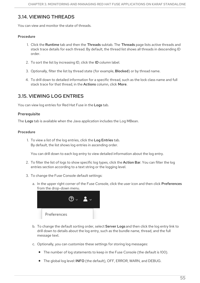## 3.14. VIEWING THREADS

You can view and monitor the state of threads.

## Procedure

- 1. Click the Runtime tab and then the Threads subtab. The Threads page lists active threads and stack trace details for each thread. By default, the thread list shows all threads in descending ID order.
- 2. To sort the list by increasing ID, click the ID column label.
- 3. Optionally, filter the list by thread state (for example, Blocked) or by thread name.
- 4. To drill down to detailed information for a specific thread, such as the lock class name and full stack trace for that thread, in the Actions column, click More.

## 3.15. VIEWING LOG ENTRIES

You can view log entries for Red Hat Fuse in the Logs tab.

## **Prerequisite**

The Logs tab is available when the Java application includes the Log MBean.

### Procedure

1. To view a list of the log entries, click the Log Entries tab. By default, the list shows log entries in ascending order.

You can drill down to each log entry to view detailed information about the log entry.

- 2. To filter the list of logs to show specific log types, click the Action Bar. You can filter the log entries section according to a text string or the logging level.
- 3. To change the Fuse Console default settings:
	- a. In the upper right corner of the Fuse Console, click the user icon and then click Preferences from the drop-down menu.



- b. To change the default sorting order, select **Server Logs** and then click the log entry link to drill down to details about the log entry, such as the bundle name, thread, and the full message text.
- c. Optionally, you can customize these settings for storing log messages:
	- The number of log statements to keep in the Fuse Console (the default is 100).
	- The global log level: INFO (the default), OFF, ERROR, WARN, and DEBUG.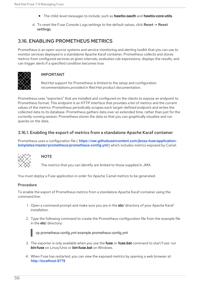- The child-level messages to include, such as **hawtio-oauth** and **hawtio-core-utils**.
- d. To reset the Fuse Console Logs settings to the default values, click Reset → Reset settings.

## 3.16. ENABLING PROMETHEUS METRICS

Prometheus is an open-source systems and service monitoring and alerting toolkit that you can use to monitor services deployed in a standalone Apache Karaf container. Prometheus collects and stores metrics from configured services at given intervals, evaluates rule expressions, displays the results, and can trigger alerts if a specified condition becomes true.



## IMPORTANT

Red Hat support for Prometheus is limited to the setup and configuration recommendations provided in Red Hat product documentation.

Prometheus uses "exporters" that are installed and configured on the clients to expose an endpoint to Prometheus format. This endpoint is an HTTP interface that provides a list of metrics and the current values of the metrics. Prometheus periodically scrapes each target-defined endpoint and writes the collected data to its database. Prometheus gathers data over an extended time, rather than just for the currently running session. Prometheus stores the data so that you can graphically visualize and run queries on the data.

## 3.16.1. Enabling the export of metrics from a standalone Apache Karaf container

Prometheus uses a configuration file ( **[https://raw.githubusercontent.com/jboss-fuse/application](https://raw.githubusercontent.com/jboss-fuse/application-templates/master/prometheus/prometheus-config.yml)templates/master/prometheus/prometheus-config.yml**) which includes metrics exposed by Camel.



### **NOTE**

The metrics that you can identify are limited to those supplied in JMX.

You must deploy a Fuse application in order for Apache Camel metrics to be generated.

### Procedure

To enable the export of Prometheus metrics from a standalone Apache Karaf container using the command line:

- 1. Open a command prompt and make sure you are in the **etc/** directory of your Apache Karaf installation.
- 2. Type the following command to create the Prometheus configuration file from the example file in the **etc/** directory:



cp prometheus-config.yml-example prometheus-config.yml

- 3. The exporter is only available when you use the **fuse** or **fuse.bat** command to start Fuse: run **bin/fuse** on Linux/Unix or **bin\fuse.bat** on Windows.
- 4. When Fuse has restarted, you can view the exposed metrics by opening a web browser at: **<http://localhost:9779>**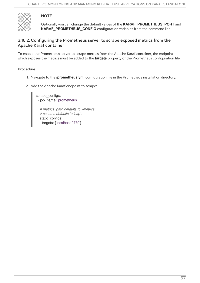## **NOTE**



Optionally you can change the default values of the **KARAF\_PROMETHEUS\_PORT** and **KARAF\_PROMETHEUS\_CONFIG** configuration variables from the command line.

## 3.16.2. Configuring the Prometheus server to scrape exposed metrics from the Apache Karaf container

To enable the Prometheus server to scrape metrics from the Apache Karaf container, the endpoint which exposes the metrics must be added to the **targets** property of the Prometheus configuration file.

### Procedure

- 1. Navigate to the **/prometheus.yml** configuration file in the Prometheus installation directory.
- 2. Add the Apache Karaf endpoint to scrape:

scrape\_configs: - job\_name: 'prometheus' *# metrics\_path defaults to '/metrics' # scheme defaults to 'http'.* static\_configs: - targets: ['localhost:9779']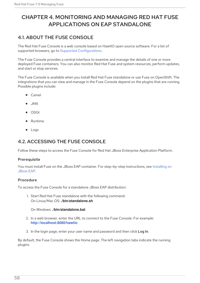# CHAPTER 4. MONITORING AND MANAGING RED HAT FUSE APPLICATIONS ON EAP STANDALONE

## 4.1. ABOUT THE FUSE CONSOLE

The Red Hat Fuse Console is a web console based on HawtIO open source software. For a list of supported browsers, go to Supported [Configurations.](https://access.redhat.com/articles/310603)

The Fuse Console provides a central interface to examine and manage the details of one or more deployed Fuse containers. You can also monitor Red Hat Fuse and system resources, perform updates, and start or stop services.

The Fuse Console is available when you install Red Hat Fuse standalone or use Fuse on OpenShift. The integrations that you can view and manage in the Fuse Console depend on the plugins that are running. Possible plugins include:

- Camel
- JMX
- OSGI
- Runtime
- Logs

## 4.2. ACCESSING THE FUSE CONSOLE

Follow these steps to access the Fuse Console for Red Hat JBoss Enterprise Application Platform.

#### **Prerequisite**

You must install Fuse on the JBoss EAP container. For [step-by-step](https://access.redhat.com/documentation/en-us/red_hat_fuse/7.9/html-single/installing_on_jboss_eap/index) instructions, see Installing on JBoss EAP.

### Procedure

To access the Fuse Console for a standalone JBoss EAP distribution:

1. Start Red Hat Fuse standalone with the following command: On Linux/Mac OS: **./bin/standalone.sh**

#### On Windows: **./bin/standalone.bat**

- 2. In a web browser, enter the URL to connect to the Fuse Console. For example: **<http://localhost:8080/hawtio>**
- 3. In the login page, enter your user name and password and then click Log In.

By default, the Fuse Console shows the Home page. The left navigation tabs indicate the running plugins.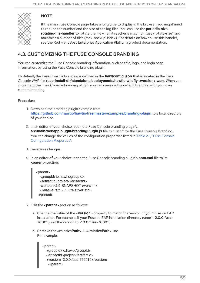# **NOTE**

If the main Fuse Console page takes a long time to display in the browser, you might need to reduce the number and the size of the log files. You can use the **periodic-sizerotating-file-handler** to rotate the file when it reaches a maximum size (rotate-size) and maintains a number of files (max-backup-index). For details on how to use this handler, see the Red Hat JBoss Enterprise Application Platform product documentation.

# 4.3. CUSTOMIZING THE FUSE CONSOLE BRANDING

You can customize the Fuse Console branding information, such as title, logo, and login page information, by using the Fuse Console branding plugin.

By default, the Fuse Console branding is defined in the **hawtconfig.json** that is located in the Fuse Console WAR file (**eap-install-dir/standalone/deployments/hawtio-wildfly-<version>.war**). When you implement the Fuse Console branding plugin, you can override the default branding with your own custom branding.

## Procedure

- 1. Download the branding plugin example from **<https://github.com/hawtio/hawtio/tree/master/examples/branding-plugin>** to a local directory of your choice.
- 2. In an editor of your choice, open the Fuse Console branding plugin's **src/main/webapp/plugin/brandingPlugin.js** file to customize the Fuse Console branding. You can change the values of the configuration properties listed in Table A.1, "Fuse Console [Configuration](#page-76-0) Properties".
- 3. Save your changes.
- 4. In an editor of your choice, open the Fuse Console branding plugin's **pom.xml** file to its **<parent>** section:

<parent> <groupId>io.hawt</groupId> <artifactId>project</artifactId> <version>2.9-SNAPSHOT</version> <relativePath>../..</relativePath> </parent>

- 5. Edit the **<parent>** section as follows:
	- a. Change the value of the **<version>** property to match the version of your Fuse on EAP installation. For example, if your Fuse on EAP installation directory name is 2.0.0.fuse-760015, set the version to 2.0.0.fuse-760015.
	- b. Remove the **<relativePath>../..</relativePath>** line. For example:

<parent> <groupId>io.hawt</groupId> <artifactId>project</artifactId> <version> 2.0.0.fuse-760015</version> </parent>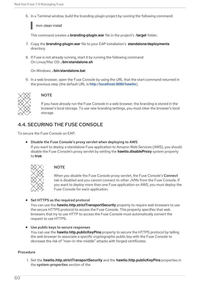6. In a Terminal window, build the branding-plugin project by running the following command:

mvn clean install

This command creates a **branding-plugin.war** file in the project's **/target** folder.

- 7. Copy the **branding-plugin.war** file to your EAP installation's **standalone/deployments** directory.
- 8. If Fuse is not already running, start it by running the following command: On Linux/Mac OS: **./bin/standalone.sh**

On Windows: **./bin/standalone.bat**

9. In a web browser, open the Fuse Console by using the URL that the start command returned in the previous step (the default URL is **<http://localhost:8080/hawtio>**).



## **NOTE**

If you have already run the Fuse Console in a web browser, the branding is stored in the browser's local storage. To use new branding settings, you must clear the browser's local storage.

# 4.4. SECURING THE FUSE CONSOLE

To secure the Fuse Console on EAP:

Disable the Fuse Console's proxy servlet when deploying to AWS If you want to deploy a standalone Fuse application to Amazon Web Services (AWS), you should disable the Fuse Console's proxy servlet by setting the **hawtio.disableProxy** system property to **true**.



## **NOTE**

When you disable the Fuse Console proxy servlet, the Fuse Console's Connect tab is disabled and you cannot connect to other JVMs from the Fuse Console. If you want to deploy more than one Fuse application on AWS, you must deploy the Fuse Console for each application.

• Set HTTPS as the required protocol

You can use the **hawtio.http.strictTransportSecurity** property to require web browsers to use the secure HTTPS protocol to access the Fuse Console. This property specifies that web browsers that try to use HTTP to access the Fuse Console must automatically convert the request to use HTTPS.

Use public keys to secure responses

You can use the **hawtio.http.publicKeyPins** property to secure the HTTPS protocol by telling the web browser to associate a specific cryptographic public key with the Fuse Console to decrease the risk of "man-in-the-middle" attacks with forged certificates.

### Procedure

1. Set the **hawtio.http.strictTransportSecurity** and the **hawtio.http.publicKeyPins** properties in the system-properties section of the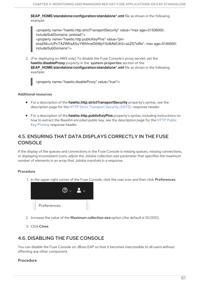**\$EAP\_HOME/standalone/configuration/standalone\*.xml** file as shown in the following example:

<property name="hawtio.http.strictTransportSecurity" value="max-age=31536000; includeSubDomains; preload"/> <property name="hawtio.http.publicKeyPins" value="pinsha256=cUPcTAZWKaASuYWhhneDttWpY3oBAkE3h2+soZS7sWs"; max-age=5184000; includeSubDomains"/>

2. (For deploying on AWS only) To disable the Fuse Console's proxy servlet, set the **hawtio.disableProxy** property in the system-properties section of the **\$EAP\_HOME/standalone/configuration/standalone\*.xml** file as shown in the following example:

<property name="hawtio.disableProxy" value="true"/>

#### Additional resources

- For a description of the **hawtio.http.strictTransportSecurity** property's syntax, see the description page for the HTTP Strict [Transport](https://developer.mozilla.org/en-US/docs/Web/HTTP/Headers/Strict-Transport-Security) Security (HSTS) response header.
- For a description of the **hawtio.http.publicKeyPins** property's syntax, including instructions on how to extract the Base64 encoded public key, see the [description](https://developer.mozilla.org/en-US/docs/Web/HTTP/Public_Key_Pinning) page for the HTTP Public Key Pinning response header.

# 4.5. ENSURING THAT DATA DISPLAYS CORRECTLY IN THE FUSE **CONSOLE**

If the display of the queues and connections in the Fuse Console is missing queues, missing connections, or displaying inconsistent icons, adjust the Jolokia collection size parameter that specifies the maximum number of elements in an array that Jolokia marshals in a response.

### Procedure

1. In the upper right corner of the Fuse Console, click the user icon and then click Preferences.



- 2. Increase the value of the Maximum collection size option (the default is 50,000).
- 3. Click Close.

## 4.6. DISABLING THE FUSE CONSOLE

You can disable the Fuse Console on JBoss EAP so that it becomes inaccessible to all users without affecting any other component.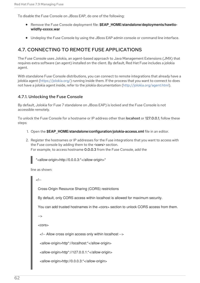To disable the Fuse Console on JBoss EAP, do one of the following:

- **•** Remove the Fuse Console deployment file: **\$EAP\_HOME/standalone/deployments/hawtiowildfly-xxxxx.war**
- Undeploy the Fuse Console by using the JBoss EAP admin console or command line interface.

## 4.7. CONNECTING TO REMOTE FUSE APPLICATIONS

The Fuse Console uses Jolokia, an agent-based approach to Java Management Extensions (JMX) that requires extra software (an agent) installed on the client. By default, Red Hat Fuse includes a jolokia agent.

With standalone Fuse Console distributions, you can connect to remote integrations that already have a jolokia agent [\(https://jolokia.org/\)](https://jolokia.org/) running inside them. If the process that you want to connect to does not have a jolokia agent inside, refer to the jolokia documentation [\(http://jolokia.org/agent.html](http://jolokia.org/agent.html)).

## 4.7.1. Unlocking the Fuse Console

By default, Jolokia for Fuse 7 standalone on JBoss EAP) is locked and the Fuse Console is not accessible remotely.

To unlock the Fuse Console for a hostname or IP address other than locahost or 127.0.0.1, follow these steps:

- 1. Open the **\$EAP\_HOME/standalone/configuration/jolokia-access.xml** file in an editor.
- 2. Register the hostnames or IP addresses for the Fuse integrations that you want to access with the Fuse console by adding them to the <cors> section. For example, to access hostname 0.0.0.3 from the Fuse Console, add the



\*<allow-origin>http://0.0.0.3:\*</allow-origin>\*

line as shown:

<!--

Cross-Origin Resource Sharing (CORS) restrictions

By default, only CORS access within localhost is allowed for maximum security.

You can add trusted hostnames in the <cors> section to unlock CORS access from them.

-->

<cors>

<!-- Allow cross origin access only within localhost -->

<allow-origin>http\*://localhost:\*</allow-origin>

<allow-origin>http\*://127.0.0.1:\*</allow-origin>

<allow-origin>http://0.0.0.3:\*</allow-origin>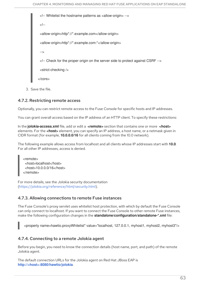```
<!-- Whitelist the hostname patterns as <allow-origin> -->
 <!--
<allow-origin>http*://*.example.com</allow-origin>
 <allow-origin>http*://*.example.com:*</allow-origin>
 -->
<!-- Check for the proper origin on the server side to protect against CSRF -->
 <strict-checking />
</cors>
```
3. Save the file.

## 4.7.2. Restricting remote access

Optionally, you can restrict remote access to the Fuse Console for specific hosts and IP addresses.

You can grant overall access based on the IP address of an HTTP client. To specify these restrictions:

In the **jolokia-access.xml** file, add or edit a **<remote>** section that contains one or more **<host>** elements. For the **<host>** element, you can specify an IP address, a host name, or a netmask given in CIDR format (for example, **10.0.0.0/16** for all clients coming from the 10.0 network).

The following example allows access from localhost and all clients whose IP addresses start with **10.0**. For all other IP addresses, access is denied.

<remote> <host>localhost</host> <host>10.0.0.0/16</host> </remote>

For more details, see the Jolokia security documentation [\(https://jolokia.org/reference/html/security.html](https://jolokia.org/reference/html/security.html)).

## 4.7.3. Allowing connections to remote Fuse instances

The Fuse Console's proxy servlet uses whitelist host protection, with which by default the Fuse Console can only connect to localhost. If you want to connect the Fuse Console to other remote Fuse instances, make the following configuration changes in the **standalone/configuration/standalone-\*.xml** file:

<property name=hawtio.proxyWhitelist" value="localhost, 127.0.0.1, myhost1, myhost2, myhost3"/>

## 4.7.4. Connecting to a remote Jolokia agent

Before you begin, you need to know the connection details (host name, port, and path) of the remote Jolokia agent.

The default connection URLs for the Jolokia agent on Red Hat JBoss EAP is **[http://<host>:8080/hawtio/jolokia](http://:8080/hawtio/jolokia)**.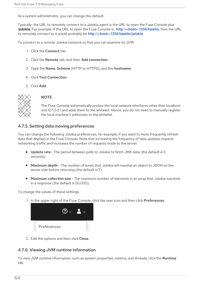As a system administrator, you can change this default.

Typically, the URL to remotely connect to a Jolokia agent is the URL to open the Fuse Console plus **/jolokia**. For example, if the URL to open the Fuse Console is **[http://<host>:1234/hawtio](http://:1234/hawtio)**, then the URL to remotely connect to it would probably be **[http://<host>:1234/hawtio/jolokia](http://:1234/hawtio/jolokia)**.

To connect to a remote Jolokia instance so that you can examine its JVM:

- 1. Click the Connect tab.
- 2. Click the Remote tab, and then Add connection.
- 3. Type the Name, Scheme (HTTP or HTTPS), and the hostname.
- 4. Click Test Connection.
- 5. Click Add.



## **NOTE**

The Fuse Console automatically probes the local network interfaces other than localhost and 127.0.0.1 and adds them to the whitelist. Hence, you do not need to manually register the local machine's addresses to the whitelist.

## 4.7.5. Setting data moving preferences

You can change the following Jolokia preferences, for example, if you want to more frequently refresh data that displays in the Fuse Console. Note that increasing the frequency of data updates impacts networking traffic and increases the number of requests made to the server.

- Update rate The period between polls to Jolokia to fetch JMX data (the default is 5 seconds).
- Maximum depth The number of levels that Jolokia will marshal an object to JSON on the server side before returning (the default is 7).
- Maximum collection size The maximum number of elements in an array that Jolokia marshals in a response (the default is 50,000).

To change the values of these settings:

1. In the upper right of the Fuse Console, click the user icon and then click Preferences.



2. Edit the options and then click Close.

## 4.7.6. Viewing JVM runtime information

To view JVM runtime information, such as system properties, metrics, and threads, click the **Runtime** tab.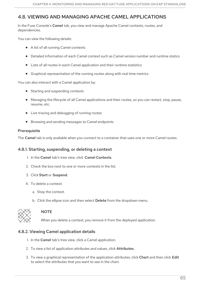## 4.8. VIEWING AND MANAGING APACHE CAMEL APPLICATIONS

In the Fuse Console's Camel tab, you view and manage Apache Camel contexts, routes, and dependencies.

You can view the following details:

- A list of all running Camel contexts
- Detailed information of each Camel context such as Camel version number and runtime statics
- Lists of all routes in each Camel application and their runtime statistics
- Graphical representation of the running routes along with real time metrics

You can also interact with a Camel application by:

- Starting and suspending contexts
- Managing the lifecycle of all Camel applications and their routes, so you can restart, stop, pause, resume, etc.
- Live tracing and debugging of running routes
- Browsing and sending messages to Camel endpoints

### **Prerequisite**

The Camel tab is only available when you connect to a container that uses one or more Camel routes.

### 4.8.1. Starting, suspending, or deleting a context

- 1. In the Camel tab's tree view, click Camel Contexts.
- 2. Check the box next to one or more contexts in the list.
- 3. Click Start or Suspend.
- 4. To delete a context:
	- a. Stop the context.
	- b. Click the ellipse icon and then select Delete from the dropdown menu.



### **NOTE**

When you delete a context, you remove it from the deployed application.

## 4.8.2. Viewing Camel application details

- 1. In the Camel tab's tree view, click a Camel application.
- 2. To view a list of application attributes and values, click Attributes.
- 3. To view a graphical representation of the application attributes, click Chart and then click Edit to select the attributes that you want to see in the chart.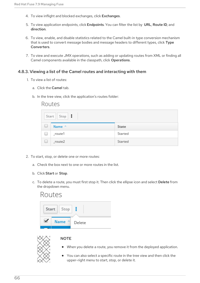- 4. To view inflight and blocked exchanges, click Exchanges.
- 5. To view application endpoints, click Endpoints. You can filter the list by URL, Route ID, and direction.
- 6. To view, enable, and disable statistics related to the Camel built-in type conversion mechanism that is used to convert message bodies and message headers to different types, click Type Converters.
- 7. To view and execute JMX operations, such as adding or updating routes from XML or finding all Camel components available in the classpath, click Operations.

### 4.8.3. Viewing a list of the Camel routes and interacting with them

- 1. To view a list of routes:
	- a. Click the Camel tab.
	- b. In the tree view, click the application's routes folder:

## Routes

|        | $Start \mid Stop \mid$ |         |
|--------|------------------------|---------|
| U      | Name ^                 | State   |
| $\Box$ | _route1                | Started |
| $\Box$ | $_route2$              | Started |

- 2. To start, stop, or delete one or more routes:
	- a. Check the box next to one or more routes in the list.
	- b. Click Start or Stop.
	- c. To delete a route, you must first stop it. Then click the ellipse icon and select Delete from the dropdown menu.





#### **NOTE**

- When you delete a route, you remove it from the deployed application.
- You can also select a specific route in the tree view and then click the upper-right menu to start, stop, or delete it.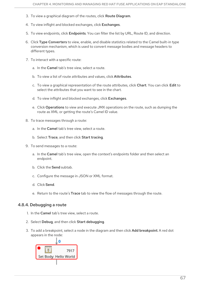- 3. To view a graphical diagram of the routes, click Route Diagram.
- 4. To view inflight and blocked exchanges, click Exchanges.
- 5. To view endpoints, click Endpoints. You can filter the list by URL, Route ID, and direction.
- 6. Click Type Converters to view, enable, and disable statistics related to the Camel built-in type conversion mechanism, which is used to convert message bodies and message headers to different types.
- 7. To interact with a specific route:
	- a. In the Camel tab's tree view, select a route.
	- b. To view a list of route attributes and values, click Attributes.
	- c. To view a graphical representation of the route attributes, click Chart. You can click Edit to select the attributes that you want to see in the chart.
	- d. To view inflight and blocked exchanges, click Exchanges.
	- e. Click Operations to view and execute JMX operations on the route, such as dumping the route as XML or getting the route's Camel ID value.
- 8. To trace messages through a route:
	- a. In the Camel tab's tree view, select a route.
	- b. Select Trace, and then click Start tracing.
- 9. To send messages to a route:
	- a. In the Camel tab's tree view, open the context's endpoints folder and then select an endpoint.
	- b. Click the Send subtab.
	- c. Configure the message in JSON or XML format.
	- d. Click Send.
	- e. Return to the route's Trace tab to view the flow of messages through the route.

### 4.8.4. Debugging a route

- 1. In the Camel tab's tree view, select a route.
- 2. Select Debug, and then click Start debugging.
- 3. To add a breakpoint, select a node in the diagram and then click Add breakpoint. A red dot appears in the node:

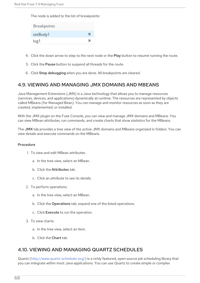The node is added to the list of breakpoints:

| Breakpoints |  |
|-------------|--|
| setBody1    |  |
| log1        |  |

- 4. Click the down arrow to step to the next node or the Play button to resume running the route.
- 5. Click the Pause button to suspend all threads for the route.
- 6. Click Stop debugging when you are done. All breakpoints are cleared.

## 4.9. VIEWING AND MANAGING JMX DOMAINS AND MBEANS

Java Management Extensions (JMX) is a Java technology that allows you to manage resources (services, devices, and applications) dynamically at runtime. The resources are represented by objects called MBeans (for Managed Bean). You can manage and monitor resources as soon as they are created, implemented, or installed.

With the JMX plugin on the Fuse Console, you can view and manage JMX domains and MBeans. You can view MBean attributes, run commands, and create charts that show statistics for the MBeans.

The JMX tab provides a tree view of the active JMX domains and MBeans organized in folders. You can view details and execute commands on the MBeans.

#### Procedure

- 1. To view and edit MBean attributes:
	- a. In the tree view, select an MBean.
	- b. Click the Attributes tab.
	- c. Click an attribute to see its details.
- 2. To perform operations:
	- a. In the tree view, select an MBean.
	- b. Click the Operations tab, expand one of the listed operations.
	- c. Click Execute to run the operation.
- 3. To view charts:
	- a. In the tree view, select an item.
	- b. Click the Chart tab.

## 4.10. VIEWING AND MANAGING QUARTZ SCHEDULES

Quartz [\(http://www.quartz-scheduler.org/\)](http://www.quartz-scheduler.org/) is a richly featured, open source job scheduling library that you can integrate within most Java applications. You can use Quartz to create simple or complex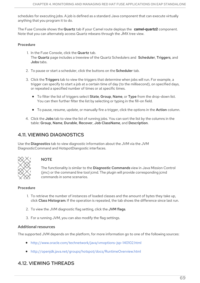schedules for executing jobs. A job is defined as a standard Java component that can execute virtually anything that you program it to do.

The Fuse Console shows the Quartz tab if your Camel route deploys the **camel-quartz2** component. Note that you can alternately access Quartz mbeans through the JMX tree view.

## Procedure

- 1. In the Fuse Console, click the Quartz tab. The Quartz page includes a treeview of the Quartz Schedulers and Scheduler, Triggers, and Jobs tabs.
- 2. To pause or start a scheduler, click the buttons on the Scheduler tab.
- 3. Click the Triggers tab to view the triggers that determine when jobs will run. For example, a trigger can specify to start a job at a certain time of day (to the millisecond), on specified days, or repeated a specified number of times or at specific times.
	- To filter the list of triggers select State, Group, Name, or Type from the drop-down list. You can then further filter the list by selecting or typing in the fill-on field.
	- To pause, resume, update, or manually fire a trigger, click the options in the Action column.
- 4. Click the Jobs tab to view the list of running jobs. You can sort the list by the columns in the table: Group, Name, Durable, Recover, Job ClassName, and Description.

# 4.11. VIEWING DIAGNOSTICS

Use the Diagnostics tab to view diagnostic information about the JVM via the JVM DiagnosticCommand and HotspotDiangostic interfaces.



## **NOTE**

The functionality is similar to the Diagnostic Commands view in Java Mission Control (jmc) or the command line tool jcmd. The plugin will provide corresponding jcmd commands in some scenarios.

#### Procedure

- 1. To retrieve the number of instances of loaded classes and the amount of bytes they take up, click Class Histogram. If the operation is repeated, the tab shows the difference since last run.
- 2. To view the JVM diagnostic flag setting, click the JVM flags.
- 3. For a running JVM, you can also modify the flag settings.

#### Additional resources

The supported JVM depends on the platform, for more information go to one of the following sources:

- <http://www.oracle.com/technetwork/java/vmoptions-jsp-140102.html>
- <http://openjdk.java.net/groups/hotspot/docs/RuntimeOverview.html>

# 4.12. VIEWING THREADS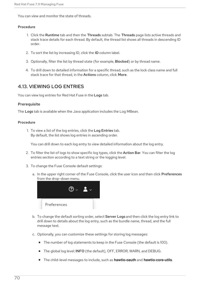You can view and monitor the state of threads.

#### Procedure

- 1. Click the Runtime tab and then the Threads subtab. The Threads page lists active threads and stack trace details for each thread. By default, the thread list shows all threads in descending ID order.
- 2. To sort the list by increasing ID, click the ID column label.
- 3. Optionally, filter the list by thread state (for example, Blocked) or by thread name.
- 4. To drill down to detailed information for a specific thread, such as the lock class name and full stack trace for that thread, in the Actions column, click More.

## 4.13. VIEWING LOG ENTRIES

You can view log entries for Red Hat Fuse in the Logs tab.

## **Prerequisite**

The Logs tab is available when the Java application includes the Log MBean.

#### Procedure

1. To view a list of the log entries, click the Log Entries tab. By default, the list shows log entries in ascending order.

You can drill down to each log entry to view detailed information about the log entry.

- 2. To filter the list of logs to show specific log types, click the **Action Bar**. You can filter the log entries section according to a text string or the logging level.
- 3. To change the Fuse Console default settings:
	- a. In the upper right corner of the Fuse Console, click the user icon and then click Preferences from the drop-down menu.



- b. To change the default sorting order, select Server Logs and then click the log entry link to drill down to details about the log entry, such as the bundle name, thread, and the full message text.
- c. Optionally, you can customize these settings for storing log messages:
	- The number of log statements to keep in the Fuse Console (the default is 100).
	- The global log level: INFO (the default), OFF, ERROR, WARN, and DEBUG.
	- The child-level messages to include, such as **hawtio-oauth** and **hawtio-core-utils**.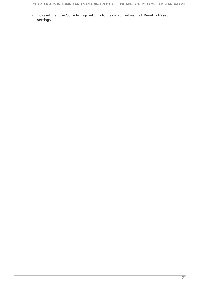d. To reset the Fuse Console Logs settings to the default values, click Reset  $\rightarrow$  Reset settings.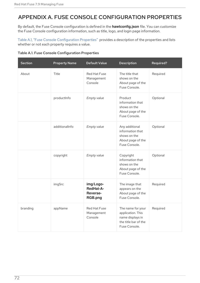# APPENDIX A. FUSE CONSOLE CONFIGURATION PROPERTIES

By default, the Fuse Console configuration is defined in the **hawtconfig.json** file. You can customize the Fuse Console configuration information, such as title, logo, and login page information.

Table A.1, "Fuse Console [Configuration](#page-76-0) Properties" provides a description of the properties and lists whether or not each property requires a value.

| <b>Table A.1. Fuse Console Configuration Properties</b> |  |  |
|---------------------------------------------------------|--|--|
|---------------------------------------------------------|--|--|

| <b>Section</b> | <b>Property Name</b> | <b>Default Value</b>                          | Description                                                                                         | Required? |
|----------------|----------------------|-----------------------------------------------|-----------------------------------------------------------------------------------------------------|-----------|
| About          | Title                | Red Hat Fuse<br>Management<br>Console         | The title that<br>shows on the<br>About page of the<br>Fuse Console.                                | Required  |
|                | productInfo          | Empty value                                   | Product<br>information that<br>shows on the<br>About page of the<br>Fuse Console.                   | Optional  |
|                | additionalInfo       | Empty value                                   | Any additional<br>information that<br>shows on the<br>About page of the<br>Fuse Console.            | Optional  |
|                | copyright            | Empty value                                   | Copyright<br>information that<br>shows on the<br>About page of the<br>Fuse Console.                 | Optional  |
|                | imgSrc               | img/Logo-<br>RedHat-A-<br>Reverse-<br>RGB.png | The image that<br>appears on the<br>About page of the<br>Fuse Console.                              | Required  |
| branding       | appName              | Red Hat Fuse<br>Management<br>Console         | The name for your<br>application. This<br>name displays in<br>the title bar of the<br>Fuse Console. | Required  |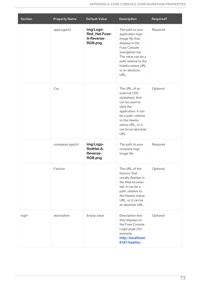<span id="page-76-0"></span>

| <b>Section</b> | <b>Property Name</b> | <b>Default Value</b>                                        | Description                                                                                                                                                                                                 | Required? |
|----------------|----------------------|-------------------------------------------------------------|-------------------------------------------------------------------------------------------------------------------------------------------------------------------------------------------------------------|-----------|
|                | appLogoUrl           | img/Logo-<br>Red Hat-Fuse-<br>A-Reverse-<br>RGB.png         | The path to your<br>application logo<br>image file that<br>displays in the<br>Fuse Console<br>}navigation bar.<br>The value can be a<br>path relative to the<br>Hawtio status URL<br>or an absolute<br>URL. | Required  |
|                | Css                  |                                                             | The URL of an<br>external CSS<br>stylesheet, that<br>can be used to<br>style the<br>application. It can<br>be a path, relative<br>to the Hawtio<br>status URL, or it<br>can be an absolute<br>URL.          | Optional  |
|                | companyLogoUrl       | img/Logo-<br><b>RedHat-A-</b><br><b>Reverse-</b><br>RGB.png | The path to your<br>company logo<br>image file.                                                                                                                                                             | Required  |
|                | Favicon              |                                                             | The URL of the<br>favicon, that<br>usually displays in<br>the Web browser<br>tab. It can be a<br>path, relative to<br>the Hawtio status<br>URL, or it can be<br>an absolute URL.                            | Optional  |
| login          | description          | Empty value                                                 | Descriptive text<br>that displays on<br>the Fuse Console<br>Login page (for<br>example,<br>http://localhost:<br>8181/hawtio).                                                                               | Optional  |